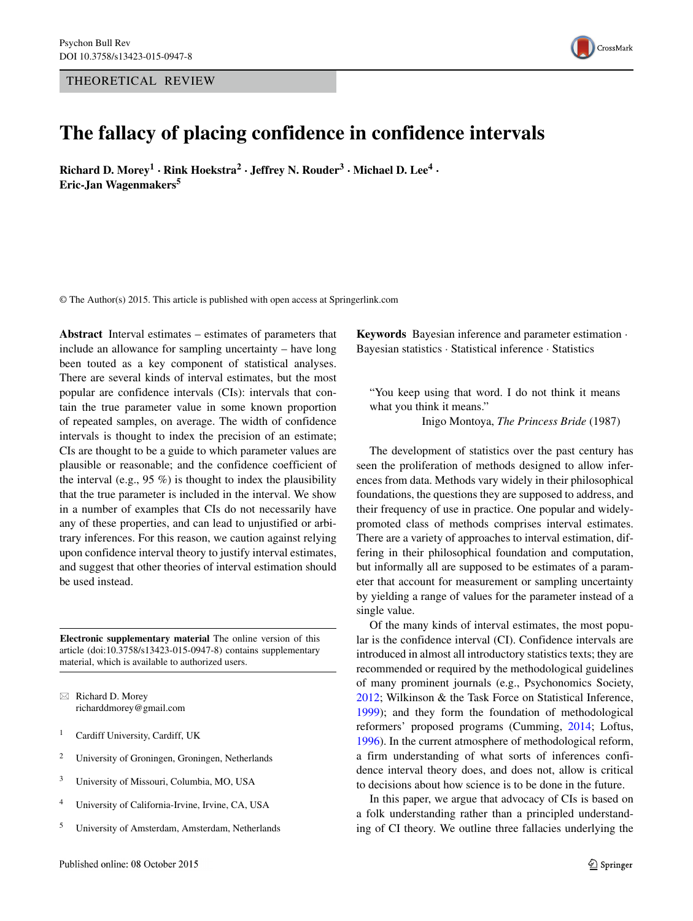THEORETICAL REVIEW



# **The fallacy of placing confidence in confidence intervals**

**Richard D. Morey<sup>1</sup> · Rink Hoekstra<sup>2</sup> · Jeffrey N. Rouder3 · Michael D. Lee<sup>4</sup> · Eric-Jan Wagenmakers5**

© The Author(s) 2015. This article is published with open access at Springerlink.com

**Abstract** Interval estimates – estimates of parameters that include an allowance for sampling uncertainty – have long been touted as a key component of statistical analyses. There are several kinds of interval estimates, but the most popular are confidence intervals (CIs): intervals that contain the true parameter value in some known proportion of repeated samples, on average. The width of confidence intervals is thought to index the precision of an estimate; CIs are thought to be a guide to which parameter values are plausible or reasonable; and the confidence coefficient of the interval (e.g.,  $95\%$ ) is thought to index the plausibility that the true parameter is included in the interval. We show in a number of examples that CIs do not necessarily have any of these properties, and can lead to unjustified or arbitrary inferences. For this reason, we caution against relying upon confidence interval theory to justify interval estimates, and suggest that other theories of interval estimation should be used instead.

**Electronic supplementary material** The online version of this article (doi[:10.3758/s13423-015-0947-8\)](http://dx.doi.org/10.3758/s13423-015-0947-8) contains supplementary material, which is available to authorized users.

⊠ Richard D. Morey [richarddmorey@gmail.com](mailto:richarddmorey@gmail.com)

- <sup>1</sup> Cardiff University, Cardiff, UK
- <sup>2</sup> University of Groningen, Groningen, Netherlands
- <sup>3</sup> University of Missouri, Columbia, MO, USA
- <sup>4</sup> University of California-Irvine, Irvine, CA, USA
- <sup>5</sup> University of Amsterdam, Amsterdam, Netherlands

**Keywords** Bayesian inference and parameter estimation · Bayesian statistics · Statistical inference · Statistics

"You keep using that word. I do not think it means what you think it means."

Inigo Montoya, *The Princess Bride* (1987)

The development of statistics over the past century has seen the proliferation of methods designed to allow inferences from data. Methods vary widely in their philosophical foundations, the questions they are supposed to address, and their frequency of use in practice. One popular and widelypromoted class of methods comprises interval estimates. There are a variety of approaches to interval estimation, differing in their philosophical foundation and computation, but informally all are supposed to be estimates of a parameter that account for measurement or sampling uncertainty by yielding a range of values for the parameter instead of a single value.

Of the many kinds of interval estimates, the most popular is the confidence interval (CI). Confidence intervals are introduced in almost all introductory statistics texts; they are recommended or required by the methodological guidelines of many prominent journals (e.g., Psychonomics Society, [2012;](#page-19-0) Wilkinson & the Task Force on Statistical Inference, [1999\)](#page-20-0); and they form the foundation of methodological reformers' proposed programs (Cumming, [2014;](#page-18-0) Loftus, [1996\)](#page-19-1). In the current atmosphere of methodological reform, a firm understanding of what sorts of inferences confidence interval theory does, and does not, allow is critical to decisions about how science is to be done in the future.

In this paper, we argue that advocacy of CIs is based on a folk understanding rather than a principled understanding of CI theory. We outline three fallacies underlying the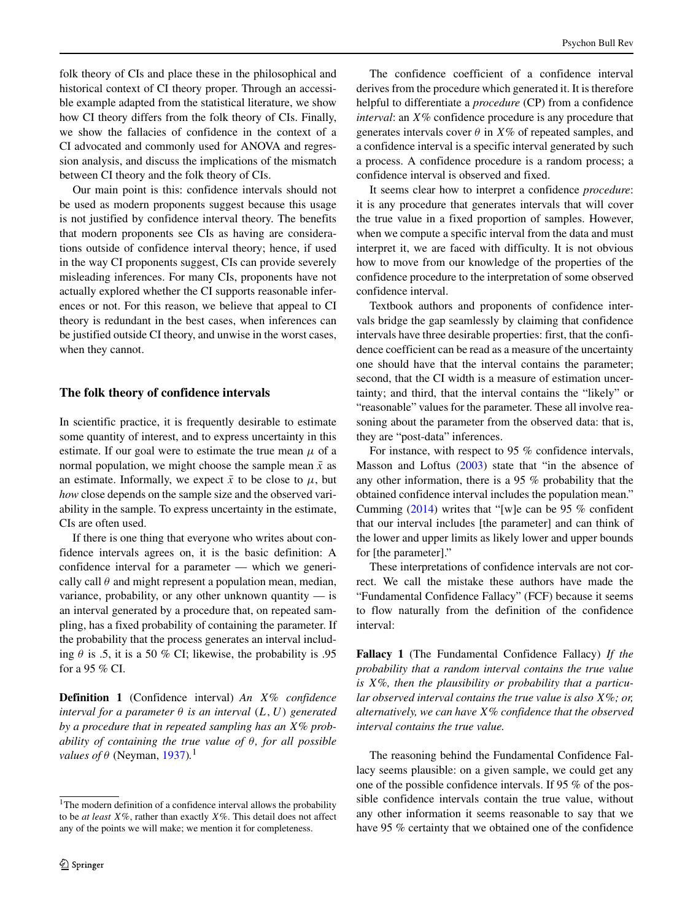folk theory of CIs and place these in the philosophical and historical context of CI theory proper. Through an accessible example adapted from the statistical literature, we show how CI theory differs from the folk theory of CIs. Finally, we show the fallacies of confidence in the context of a CI advocated and commonly used for ANOVA and regression analysis, and discuss the implications of the mismatch between CI theory and the folk theory of CIs.

Our main point is this: confidence intervals should not be used as modern proponents suggest because this usage is not justified by confidence interval theory. The benefits that modern proponents see CIs as having are considerations outside of confidence interval theory; hence, if used in the way CI proponents suggest, CIs can provide severely misleading inferences. For many CIs, proponents have not actually explored whether the CI supports reasonable inferences or not. For this reason, we believe that appeal to CI theory is redundant in the best cases, when inferences can be justified outside CI theory, and unwise in the worst cases, when they cannot.

# **The folk theory of confidence intervals**

In scientific practice, it is frequently desirable to estimate some quantity of interest, and to express uncertainty in this estimate. If our goal were to estimate the true mean  $\mu$  of a normal population, we might choose the sample mean  $\bar{x}$  as an estimate. Informally, we expect  $\bar{x}$  to be close to  $\mu$ , but *how* close depends on the sample size and the observed variability in the sample. To express uncertainty in the estimate, CIs are often used.

If there is one thing that everyone who writes about confidence intervals agrees on, it is the basic definition: A confidence interval for a parameter — which we generically call  $\theta$  and might represent a population mean, median, variance, probability, or any other unknown quantity  $-$  is an interval generated by a procedure that, on repeated sampling, has a fixed probability of containing the parameter. If the probability that the process generates an interval including  $\theta$  is .5, it is a 50 % CI; likewise, the probability is .95 for a 95 % CI.

**Definition 1** (Confidence interval) *An X*% *confidence interval for a parameter*  $\theta$  *is an interval*  $(L, U)$  *generated by a procedure that in repeated sampling has an X*% *probability of containing the true value of θ, for all possible values of θ* (Neyman, [1937\)](#page-19-2).<sup>[1](#page-1-0)</sup>

The confidence coefficient of a confidence interval derives from the procedure which generated it. It is therefore helpful to differentiate a *procedure* (CP) from a confidence *interval*: an *X*% confidence procedure is any procedure that generates intervals cover  $\theta$  in  $X\%$  of repeated samples, and a confidence interval is a specific interval generated by such a process. A confidence procedure is a random process; a confidence interval is observed and fixed.

It seems clear how to interpret a confidence *procedure*: it is any procedure that generates intervals that will cover the true value in a fixed proportion of samples. However, when we compute a specific interval from the data and must interpret it, we are faced with difficulty. It is not obvious how to move from our knowledge of the properties of the confidence procedure to the interpretation of some observed confidence interval.

Textbook authors and proponents of confidence intervals bridge the gap seamlessly by claiming that confidence intervals have three desirable properties: first, that the confidence coefficient can be read as a measure of the uncertainty one should have that the interval contains the parameter; second, that the CI width is a measure of estimation uncertainty; and third, that the interval contains the "likely" or "reasonable" values for the parameter. These all involve reasoning about the parameter from the observed data: that is, they are "post-data" inferences.

For instance, with respect to 95 % confidence intervals, Masson and Loftus [\(2003\)](#page-19-3) state that "in the absence of any other information, there is a 95 % probability that the obtained confidence interval includes the population mean." Cumming [\(2014\)](#page-18-0) writes that "[w]e can be 95 % confident that our interval includes [the parameter] and can think of the lower and upper limits as likely lower and upper bounds for [the parameter]."

These interpretations of confidence intervals are not correct. We call the mistake these authors have made the "Fundamental Confidence Fallacy" (FCF) because it seems to flow naturally from the definition of the confidence interval:

**Fallacy 1** (The Fundamental Confidence Fallacy) *If the probability that a random interval contains the true value is X*%*, then the plausibility or probability that a particular observed interval contains the true value is also X*%*; or, alternatively, we can have X*% *confidence that the observed interval contains the true value.*

The reasoning behind the Fundamental Confidence Fallacy seems plausible: on a given sample, we could get any one of the possible confidence intervals. If 95 % of the possible confidence intervals contain the true value, without any other information it seems reasonable to say that we have 95 % certainty that we obtained one of the confidence

<span id="page-1-0"></span><sup>&</sup>lt;sup>1</sup>The modern definition of a confidence interval allows the probability to be *at least X*%, rather than exactly *X*%. This detail does not affect any of the points we will make; we mention it for completeness.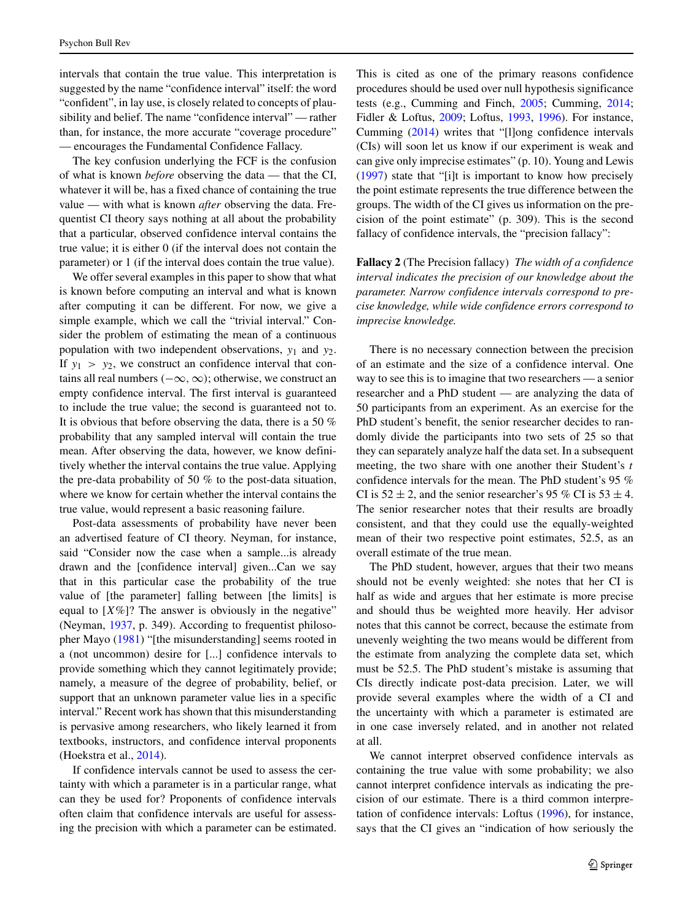intervals that contain the true value. This interpretation is suggested by the name "confidence interval" itself: the word "confident", in lay use, is closely related to concepts of plausibility and belief. The name "confidence interval" — rather than, for instance, the more accurate "coverage procedure" — encourages the Fundamental Confidence Fallacy.

The key confusion underlying the FCF is the confusion of what is known *before* observing the data — that the CI, whatever it will be, has a fixed chance of containing the true value — with what is known *after* observing the data. Frequentist CI theory says nothing at all about the probability that a particular, observed confidence interval contains the true value; it is either 0 (if the interval does not contain the parameter) or 1 (if the interval does contain the true value).

We offer several examples in this paper to show that what is known before computing an interval and what is known after computing it can be different. For now, we give a simple example, which we call the "trivial interval." Consider the problem of estimating the mean of a continuous population with two independent observations, *y*<sup>1</sup> and *y*2. If  $y_1 > y_2$ , we construct an confidence interval that contains all real numbers *(*−∞*,*∞*)*; otherwise, we construct an empty confidence interval. The first interval is guaranteed to include the true value; the second is guaranteed not to. It is obvious that before observing the data, there is a 50 % probability that any sampled interval will contain the true mean. After observing the data, however, we know definitively whether the interval contains the true value. Applying the pre-data probability of 50 % to the post-data situation, where we know for certain whether the interval contains the true value, would represent a basic reasoning failure.

Post-data assessments of probability have never been an advertised feature of CI theory. Neyman, for instance, said "Consider now the case when a sample...is already drawn and the [confidence interval] given...Can we say that in this particular case the probability of the true value of [the parameter] falling between [the limits] is equal to  $[X\%]$ ? The answer is obviously in the negative" (Neyman, [1937,](#page-19-2) p. 349). According to frequentist philosopher Mayo [\(1981\)](#page-19-4) "[the misunderstanding] seems rooted in a (not uncommon) desire for [...] confidence intervals to provide something which they cannot legitimately provide; namely, a measure of the degree of probability, belief, or support that an unknown parameter value lies in a specific interval." Recent work has shown that this misunderstanding is pervasive among researchers, who likely learned it from textbooks, instructors, and confidence interval proponents (Hoekstra et al., [2014\)](#page-18-1).

If confidence intervals cannot be used to assess the certainty with which a parameter is in a particular range, what can they be used for? Proponents of confidence intervals often claim that confidence intervals are useful for assessing the precision with which a parameter can be estimated. This is cited as one of the primary reasons confidence procedures should be used over null hypothesis significance tests (e.g., Cumming and Finch, [2005;](#page-18-2) Cumming, [2014;](#page-18-0) Fidler & Loftus, [2009;](#page-18-3) Loftus, [1993,](#page-19-5) [1996\)](#page-19-1). For instance, Cumming [\(2014\)](#page-18-0) writes that "[l]ong confidence intervals (CIs) will soon let us know if our experiment is weak and can give only imprecise estimates" (p. 10). Young and Lewis [\(1997\)](#page-20-1) state that "[i]t is important to know how precisely the point estimate represents the true difference between the groups. The width of the CI gives us information on the precision of the point estimate" (p. 309). This is the second fallacy of confidence intervals, the "precision fallacy":

**Fallacy 2** (The Precision fallacy) *The width of a confidence interval indicates the precision of our knowledge about the parameter. Narrow confidence intervals correspond to precise knowledge, while wide confidence errors correspond to imprecise knowledge.*

There is no necessary connection between the precision of an estimate and the size of a confidence interval. One way to see this is to imagine that two researchers — a senior researcher and a PhD student — are analyzing the data of 50 participants from an experiment. As an exercise for the PhD student's benefit, the senior researcher decides to randomly divide the participants into two sets of 25 so that they can separately analyze half the data set. In a subsequent meeting, the two share with one another their Student's *t* confidence intervals for the mean. The PhD student's 95 % CI is  $52 \pm 2$ , and the senior researcher's 95 % CI is  $53 \pm 4$ . The senior researcher notes that their results are broadly consistent, and that they could use the equally-weighted mean of their two respective point estimates, 52.5, as an overall estimate of the true mean.

The PhD student, however, argues that their two means should not be evenly weighted: she notes that her CI is half as wide and argues that her estimate is more precise and should thus be weighted more heavily. Her advisor notes that this cannot be correct, because the estimate from unevenly weighting the two means would be different from the estimate from analyzing the complete data set, which must be 52.5. The PhD student's mistake is assuming that CIs directly indicate post-data precision. Later, we will provide several examples where the width of a CI and the uncertainty with which a parameter is estimated are in one case inversely related, and in another not related at all.

We cannot interpret observed confidence intervals as containing the true value with some probability; we also cannot interpret confidence intervals as indicating the precision of our estimate. There is a third common interpretation of confidence intervals: Loftus [\(1996\)](#page-19-1), for instance, says that the CI gives an "indication of how seriously the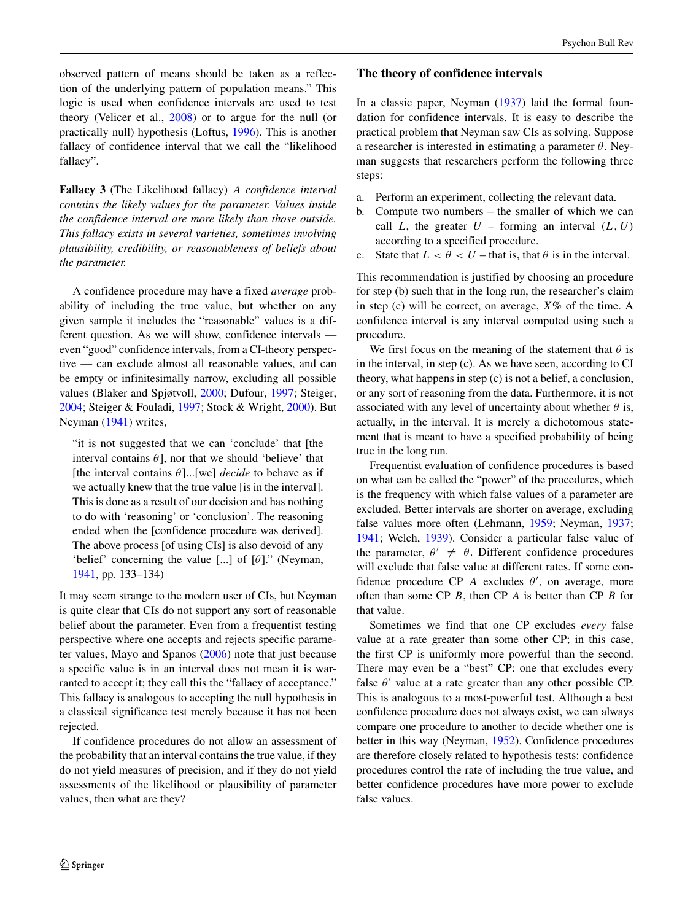observed pattern of means should be taken as a reflection of the underlying pattern of population means." This logic is used when confidence intervals are used to test theory (Velicer et al., [2008\)](#page-19-6) or to argue for the null (or practically null) hypothesis (Loftus, [1996\)](#page-19-1). This is another fallacy of confidence interval that we call the "likelihood fallacy".

**Fallacy 3** (The Likelihood fallacy) *A confidence interval contains the likely values for the parameter. Values inside the confidence interval are more likely than those outside. This fallacy exists in several varieties, sometimes involving plausibility, credibility, or reasonableness of beliefs about the parameter.*

A confidence procedure may have a fixed *average* probability of including the true value, but whether on any given sample it includes the "reasonable" values is a different question. As we will show, confidence intervals even "good" confidence intervals, from a CI-theory perspective — can exclude almost all reasonable values, and can be empty or infinitesimally narrow, excluding all possible values (Blaker and Spjøtvoll, [2000;](#page-18-4) Dufour, [1997;](#page-18-5) Steiger, [2004;](#page-19-7) Steiger & Fouladi, [1997;](#page-19-8) Stock & Wright, [2000\)](#page-19-9). But Neyman [\(1941\)](#page-19-10) writes,

"it is not suggested that we can 'conclude' that [the interval contains  $\theta$ ], nor that we should 'believe' that [the interval contains *θ*]...[we] *decide* to behave as if we actually knew that the true value [is in the interval]. This is done as a result of our decision and has nothing to do with 'reasoning' or 'conclusion'. The reasoning ended when the [confidence procedure was derived]. The above process [of using CIs] is also devoid of any 'belief' concerning the value [...] of [*θ*]." (Neyman, [1941,](#page-19-10) pp. 133–134)

It may seem strange to the modern user of CIs, but Neyman is quite clear that CIs do not support any sort of reasonable belief about the parameter. Even from a frequentist testing perspective where one accepts and rejects specific parameter values, Mayo and Spanos [\(2006\)](#page-19-11) note that just because a specific value is in an interval does not mean it is warranted to accept it; they call this the "fallacy of acceptance." This fallacy is analogous to accepting the null hypothesis in a classical significance test merely because it has not been rejected.

If confidence procedures do not allow an assessment of the probability that an interval contains the true value, if they do not yield measures of precision, and if they do not yield assessments of the likelihood or plausibility of parameter values, then what are they?

# **The theory of confidence intervals**

In a classic paper, Neyman [\(1937\)](#page-19-2) laid the formal foundation for confidence intervals. It is easy to describe the practical problem that Neyman saw CIs as solving. Suppose a researcher is interested in estimating a parameter *θ*. Neyman suggests that researchers perform the following three steps:

- a. Perform an experiment, collecting the relevant data.
- b. Compute two numbers the smaller of which we can call *L*, the greater  $U$  – forming an interval  $(L, U)$ according to a specified procedure.
- c. State that  $L < \theta < U$  that is, that  $\theta$  is in the interval.

This recommendation is justified by choosing an procedure for step (b) such that in the long run, the researcher's claim in step (c) will be correct, on average, *X*% of the time. A confidence interval is any interval computed using such a procedure.

We first focus on the meaning of the statement that  $\theta$  is in the interval, in step (c). As we have seen, according to CI theory, what happens in step (c) is not a belief, a conclusion, or any sort of reasoning from the data. Furthermore, it is not associated with any level of uncertainty about whether  $\theta$  is, actually, in the interval. It is merely a dichotomous statement that is meant to have a specified probability of being true in the long run.

Frequentist evaluation of confidence procedures is based on what can be called the "power" of the procedures, which is the frequency with which false values of a parameter are excluded. Better intervals are shorter on average, excluding false values more often (Lehmann, [1959;](#page-19-12) Neyman, [1937;](#page-19-2) [1941;](#page-19-10) Welch, [1939\)](#page-20-2). Consider a particular false value of the parameter,  $\theta' \neq \theta$ . Different confidence procedures will exclude that false value at different rates. If some confidence procedure CP *A* excludes  $\theta'$ , on average, more often than some CP *B*, then CP *A* is better than CP *B* for that value.

Sometimes we find that one CP excludes *every* false value at a rate greater than some other CP; in this case, the first CP is uniformly more powerful than the second. There may even be a "best" CP: one that excludes every false  $\theta'$  value at a rate greater than any other possible CP. This is analogous to a most-powerful test. Although a best confidence procedure does not always exist, we can always compare one procedure to another to decide whether one is better in this way (Neyman, [1952\)](#page-19-13). Confidence procedures are therefore closely related to hypothesis tests: confidence procedures control the rate of including the true value, and better confidence procedures have more power to exclude false values.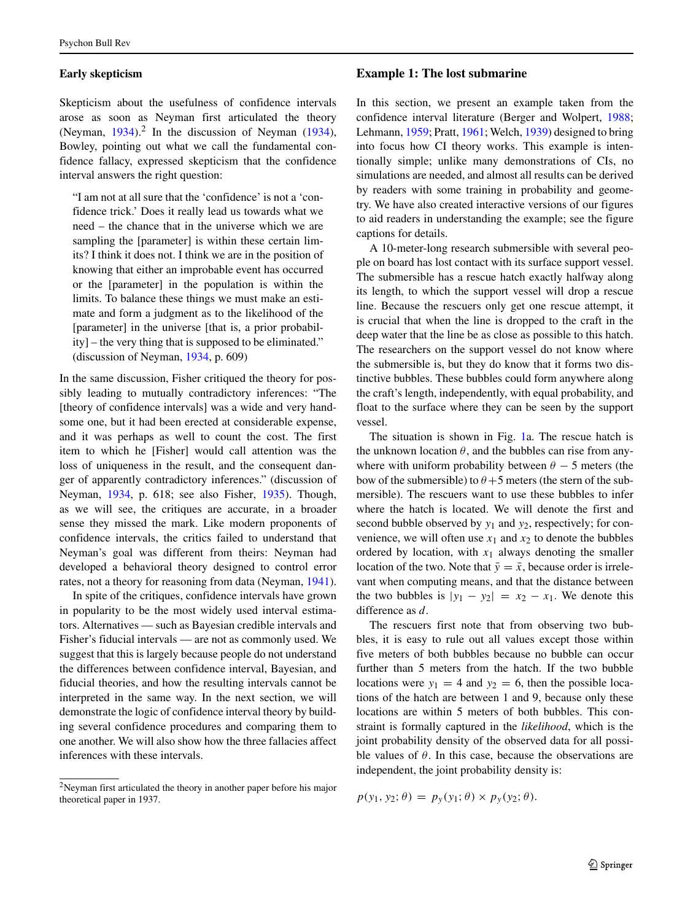# **Early skepticism**

Skepticism about the usefulness of confidence intervals arose as soon as Neyman first articulated the theory (Neyman,  $1934$ ).<sup>2</sup> In the discussion of Neyman ([1934\)](#page-19-14), Bowley, pointing out what we call the fundamental confidence fallacy, expressed skepticism that the confidence interval answers the right question:

"I am not at all sure that the 'confidence' is not a 'confidence trick.' Does it really lead us towards what we need – the chance that in the universe which we are sampling the [parameter] is within these certain limits? I think it does not. I think we are in the position of knowing that either an improbable event has occurred or the [parameter] in the population is within the limits. To balance these things we must make an estimate and form a judgment as to the likelihood of the [parameter] in the universe [that is, a prior probability] – the very thing that is supposed to be eliminated." (discussion of Neyman, [1934,](#page-19-14) p. 609)

In the same discussion, Fisher critiqued the theory for possibly leading to mutually contradictory inferences: "The [theory of confidence intervals] was a wide and very handsome one, but it had been erected at considerable expense, and it was perhaps as well to count the cost. The first item to which he [Fisher] would call attention was the loss of uniqueness in the result, and the consequent danger of apparently contradictory inferences." (discussion of Neyman, [1934,](#page-19-14) p. 618; see also Fisher, [1935\)](#page-18-6). Though, as we will see, the critiques are accurate, in a broader sense they missed the mark. Like modern proponents of confidence intervals, the critics failed to understand that Neyman's goal was different from theirs: Neyman had developed a behavioral theory designed to control error rates, not a theory for reasoning from data (Neyman, [1941\)](#page-19-10).

In spite of the critiques, confidence intervals have grown in popularity to be the most widely used interval estimators. Alternatives — such as Bayesian credible intervals and Fisher's fiducial intervals — are not as commonly used. We suggest that this is largely because people do not understand the differences between confidence interval, Bayesian, and fiducial theories, and how the resulting intervals cannot be interpreted in the same way. In the next section, we will demonstrate the logic of confidence interval theory by building several confidence procedures and comparing them to one another. We will also show how the three fallacies affect inferences with these intervals.

### **Example 1: The lost submarine**

In this section, we present an example taken from the confidence interval literature (Berger and Wolpert, [1988;](#page-18-7) Lehmann, [1959;](#page-19-12) Pratt, [1961;](#page-19-15) Welch, [1939\)](#page-20-2) designed to bring into focus how CI theory works. This example is intentionally simple; unlike many demonstrations of CIs, no simulations are needed, and almost all results can be derived by readers with some training in probability and geometry. We have also created interactive versions of our figures to aid readers in understanding the example; see the figure captions for details.

A 10-meter-long research submersible with several people on board has lost contact with its surface support vessel. The submersible has a rescue hatch exactly halfway along its length, to which the support vessel will drop a rescue line. Because the rescuers only get one rescue attempt, it is crucial that when the line is dropped to the craft in the deep water that the line be as close as possible to this hatch. The researchers on the support vessel do not know where the submersible is, but they do know that it forms two distinctive bubbles. These bubbles could form anywhere along the craft's length, independently, with equal probability, and float to the surface where they can be seen by the support vessel.

The situation is shown in Fig. [1a](#page-5-0). The rescue hatch is the unknown location  $\theta$ , and the bubbles can rise from anywhere with uniform probability between  $\theta$  − 5 meters (the bow of the submersible) to  $\theta$  + 5 meters (the stern of the submersible). The rescuers want to use these bubbles to infer where the hatch is located. We will denote the first and second bubble observed by *y*<sup>1</sup> and *y*2, respectively; for convenience, we will often use  $x_1$  and  $x_2$  to denote the bubbles ordered by location, with  $x_1$  always denoting the smaller location of the two. Note that  $\bar{y} = \bar{x}$ , because order is irrelevant when computing means, and that the distance between the two bubbles is  $|y_1 - y_2| = x_2 - x_1$ . We denote this difference as *d*.

The rescuers first note that from observing two bubbles, it is easy to rule out all values except those within five meters of both bubbles because no bubble can occur further than 5 meters from the hatch. If the two bubble locations were  $y_1 = 4$  and  $y_2 = 6$ , then the possible locations of the hatch are between 1 and 9, because only these locations are within 5 meters of both bubbles. This constraint is formally captured in the *likelihood*, which is the joint probability density of the observed data for all possible values of  $\theta$ . In this case, because the observations are independent, the joint probability density is:

$$
p(y_1, y_2; \theta) = p_y(y_1; \theta) \times p_y(y_2; \theta).
$$

<span id="page-4-0"></span><sup>2</sup>Neyman first articulated the theory in another paper before his major theoretical paper in 1937.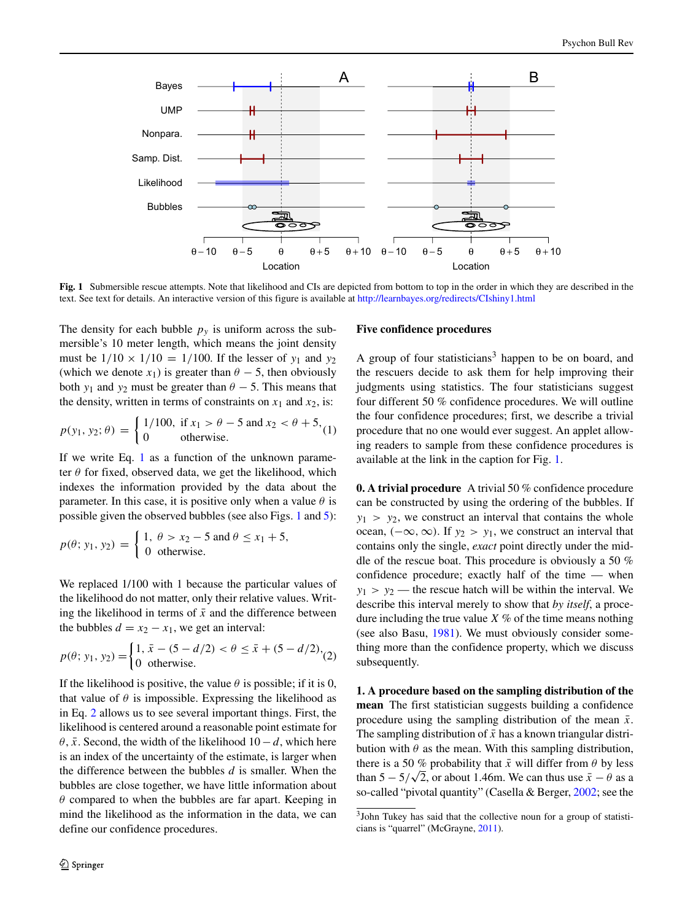<span id="page-5-0"></span>

**Fig. 1** Submersible rescue attempts. Note that likelihood and CIs are depicted from bottom to top in the order in which they are described in the text. See text for details. An interactive version of this figure is available at <http://learnbayes.org/redirects/CIshiny1.html>

The density for each bubble  $p_y$  is uniform across the submersible's 10 meter length, which means the joint density must be  $1/10 \times 1/10 = 1/100$ . If the lesser of  $y_1$  and  $y_2$ (which we denote  $x_1$ ) is greater than  $\theta$  − 5, then obviously both  $y_1$  and  $y_2$  must be greater than  $\theta$  − 5. This means that the density, written in terms of constraints on  $x_1$  and  $x_2$ , is:

<span id="page-5-1"></span>
$$
p(y_1, y_2; \theta) = \begin{cases} 1/100, & \text{if } x_1 > \theta - 5 \text{ and } x_2 < \theta + 5, \\ 0 & \text{otherwise.} \end{cases}
$$

If we write Eq. [1](#page-5-1) as a function of the unknown parameter  $\theta$  for fixed, observed data, we get the likelihood, which indexes the information provided by the data about the parameter. In this case, it is positive only when a value *θ* is possible given the observed bubbles (see also Figs. [1](#page-5-0) and [5\)](#page-11-0):

$$
p(\theta; y_1, y_2) = \begin{cases} 1, & \theta > x_2 - 5 \text{ and } \theta \le x_1 + 5, \\ 0 \text{ otherwise.} \end{cases}
$$

We replaced 1/100 with 1 because the particular values of the likelihood do not matter, only their relative values. Writing the likelihood in terms of  $\bar{x}$  and the difference between the bubbles  $d = x_2 - x_1$ , we get an interval:

<span id="page-5-2"></span>
$$
p(\theta; y_1, y_2) = \begin{cases} 1, \, \bar{x} - (5 - d/2) < \theta \le \bar{x} + (5 - d/2), \\ 0 & \text{otherwise.} \end{cases}
$$

If the likelihood is positive, the value  $\theta$  is possible; if it is 0, that value of  $\theta$  is impossible. Expressing the likelihood as in Eq. [2](#page-5-2) allows us to see several important things. First, the likelihood is centered around a reasonable point estimate for  $\theta$ ,  $\bar{x}$ . Second, the width of the likelihood 10 − *d*, which here is an index of the uncertainty of the estimate, is larger when the difference between the bubbles *d* is smaller. When the bubbles are close together, we have little information about *θ* compared to when the bubbles are far apart. Keeping in mind the likelihood as the information in the data, we can define our confidence procedures.

## **Five confidence procedures**

A group of four statisticians<sup>3</sup> happen to be on board, and the rescuers decide to ask them for help improving their judgments using statistics. The four statisticians suggest four different 50 % confidence procedures. We will outline the four confidence procedures; first, we describe a trivial procedure that no one would ever suggest. An applet allowing readers to sample from these confidence procedures is available at the link in the caption for Fig. [1.](#page-5-0)

**0. A trivial procedure** A trivial 50 % confidence procedure can be constructed by using the ordering of the bubbles. If  $y_1$  *> y*<sub>2</sub>, we construct an interval that contains the whole ocean,  $(-∞, ∞)$ . If  $y_2 > y_1$ , we construct an interval that contains only the single, *exact* point directly under the middle of the rescue boat. This procedure is obviously a 50 % confidence procedure; exactly half of the time — when  $y_1 > y_2$  — the rescue hatch will be within the interval. We describe this interval merely to show that *by itself*, a procedure including the true value *X* % of the time means nothing (see also Basu, [1981\)](#page-18-8). We must obviously consider something more than the confidence property, which we discuss subsequently.

**1. A procedure based on the sampling distribution of the mean** The first statistician suggests building a confidence procedure using the sampling distribution of the mean  $\bar{x}$ . The sampling distribution of  $\bar{x}$  has a known triangular distribution with  $\theta$  as the mean. With this sampling distribution, there is a 50 % probability that  $\bar{x}$  will differ from  $\theta$  by less than  $5 - 5/\sqrt{2}$ , or about 1.46m. We can thus use  $\bar{x} - \theta$  as a so-called "pivotal quantity" (Casella & Berger, [2002;](#page-18-9) see the

<span id="page-5-3"></span><sup>3</sup>John Tukey has said that the collective noun for a group of statisticians is "quarrel" (McGrayne, [2011\)](#page-19-16).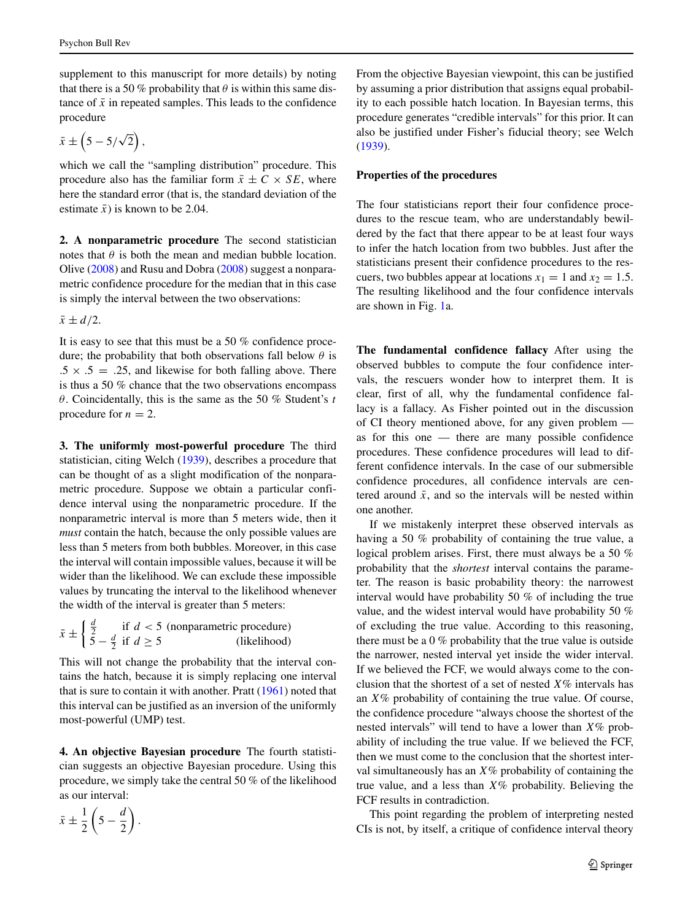supplement to this manuscript for more details) by noting that there is a 50 % probability that  $\theta$  is within this same distance of  $\bar{x}$  in repeated samples. This leads to the confidence procedure

$$
\bar{x} \pm \left(5 - 5/\sqrt{2}\right),
$$

which we call the "sampling distribution" procedure. This procedure also has the familiar form  $\bar{x} \pm C \times SE$ , where here the standard error (that is, the standard deviation of the estimate  $\bar{x}$ ) is known to be 2.04.

**2. A nonparametric procedure** The second statistician notes that  $\theta$  is both the mean and median bubble location. Olive [\(2008\)](#page-19-17) and Rusu and Dobra [\(2008\)](#page-19-18) suggest a nonparametric confidence procedure for the median that in this case is simply the interval between the two observations:

 $\bar{x} \pm d/2$ .

It is easy to see that this must be a 50 % confidence procedure; the probability that both observations fall below *θ* is  $.5 \times .5 = .25$ , and likewise for both falling above. There is thus a 50 % chance that the two observations encompass *θ*. Coincidentally, this is the same as the 50 % Student's *t* procedure for  $n = 2$ .

**3. The uniformly most-powerful procedure** The third statistician, citing Welch [\(1939\)](#page-20-2), describes a procedure that can be thought of as a slight modification of the nonparametric procedure. Suppose we obtain a particular confidence interval using the nonparametric procedure. If the nonparametric interval is more than 5 meters wide, then it *must* contain the hatch, because the only possible values are less than 5 meters from both bubbles. Moreover, in this case the interval will contain impossible values, because it will be wider than the likelihood. We can exclude these impossible values by truncating the interval to the likelihood whenever the width of the interval is greater than 5 meters:

$$
\bar{x} \pm \begin{cases} \frac{d}{2} & \text{if } d < 5 \text{ (nonparametric procedure)}\\ 5 - \frac{d}{2} & \text{if } d \ge 5 \end{cases}
$$
\n(likelihood)

This will not change the probability that the interval contains the hatch, because it is simply replacing one interval that is sure to contain it with another. Pratt [\(1961\)](#page-19-15) noted that this interval can be justified as an inversion of the uniformly most-powerful (UMP) test.

**4. An objective Bayesian procedure** The fourth statistician suggests an objective Bayesian procedure. Using this procedure, we simply take the central 50 % of the likelihood as our interval:

$$
\bar{x} \pm \frac{1}{2} \left( 5 - \frac{d}{2} \right).
$$

From the objective Bayesian viewpoint, this can be justified by assuming a prior distribution that assigns equal probability to each possible hatch location. In Bayesian terms, this procedure generates "credible intervals" for this prior. It can also be justified under Fisher's fiducial theory; see Welch [\(1939\)](#page-20-2).

## **Properties of the procedures**

The four statisticians report their four confidence procedures to the rescue team, who are understandably bewildered by the fact that there appear to be at least four ways to infer the hatch location from two bubbles. Just after the statisticians present their confidence procedures to the rescuers, two bubbles appear at locations  $x_1 = 1$  and  $x_2 = 1.5$ . The resulting likelihood and the four confidence intervals are shown in Fig. [1a](#page-5-0).

**The fundamental confidence fallacy** After using the observed bubbles to compute the four confidence intervals, the rescuers wonder how to interpret them. It is clear, first of all, why the fundamental confidence fallacy is a fallacy. As Fisher pointed out in the discussion of CI theory mentioned above, for any given problem as for this one — there are many possible confidence procedures. These confidence procedures will lead to different confidence intervals. In the case of our submersible confidence procedures, all confidence intervals are centered around  $\bar{x}$ , and so the intervals will be nested within one another.

If we mistakenly interpret these observed intervals as having a 50 % probability of containing the true value, a logical problem arises. First, there must always be a 50 % probability that the *shortest* interval contains the parameter. The reason is basic probability theory: the narrowest interval would have probability 50 % of including the true value, and the widest interval would have probability 50 % of excluding the true value. According to this reasoning, there must be a 0 % probability that the true value is outside the narrower, nested interval yet inside the wider interval. If we believed the FCF, we would always come to the conclusion that the shortest of a set of nested *X*% intervals has an *X*% probability of containing the true value. Of course, the confidence procedure "always choose the shortest of the nested intervals" will tend to have a lower than *X*% probability of including the true value. If we believed the FCF, then we must come to the conclusion that the shortest interval simultaneously has an *X*% probability of containing the true value, and a less than *X*% probability. Believing the FCF results in contradiction.

This point regarding the problem of interpreting nested CIs is not, by itself, a critique of confidence interval theory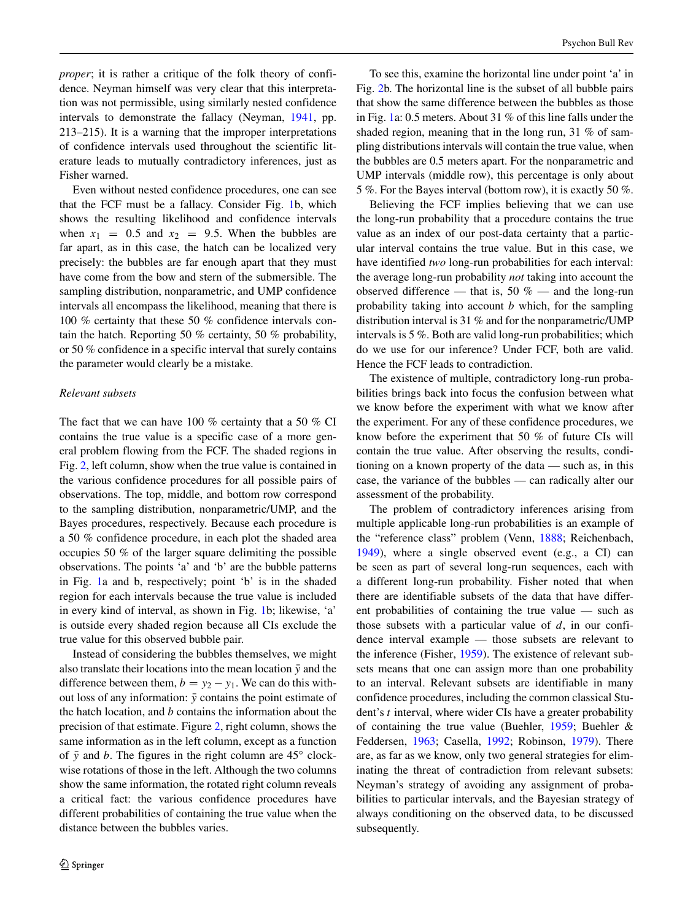*proper*; it is rather a critique of the folk theory of confidence. Neyman himself was very clear that this interpretation was not permissible, using similarly nested confidence intervals to demonstrate the fallacy (Neyman, [1941,](#page-19-10) pp. 213–215). It is a warning that the improper interpretations of confidence intervals used throughout the scientific literature leads to mutually contradictory inferences, just as Fisher warned.

Even without nested confidence procedures, one can see that the FCF must be a fallacy. Consider Fig. [1b](#page-5-0), which shows the resulting likelihood and confidence intervals when  $x_1 = 0.5$  and  $x_2 = 9.5$ . When the bubbles are far apart, as in this case, the hatch can be localized very precisely: the bubbles are far enough apart that they must have come from the bow and stern of the submersible. The sampling distribution, nonparametric, and UMP confidence intervals all encompass the likelihood, meaning that there is 100 % certainty that these 50 % confidence intervals contain the hatch. Reporting 50 % certainty, 50 % probability, or 50 % confidence in a specific interval that surely contains the parameter would clearly be a mistake.

### *Relevant subsets*

The fact that we can have 100 % certainty that a 50 % CI contains the true value is a specific case of a more general problem flowing from the FCF. The shaded regions in Fig. [2,](#page-8-0) left column, show when the true value is contained in the various confidence procedures for all possible pairs of observations. The top, middle, and bottom row correspond to the sampling distribution, nonparametric/UMP, and the Bayes procedures, respectively. Because each procedure is a 50 % confidence procedure, in each plot the shaded area occupies 50 % of the larger square delimiting the possible observations. The points 'a' and 'b' are the bubble patterns in Fig. [1a](#page-5-0) and b, respectively; point 'b' is in the shaded region for each intervals because the true value is included in every kind of interval, as shown in Fig. [1b](#page-5-0); likewise, 'a' is outside every shaded region because all CIs exclude the true value for this observed bubble pair.

Instead of considering the bubbles themselves, we might also translate their locations into the mean location  $\bar{y}$  and the difference between them,  $b = y_2 - y_1$ . We can do this without loss of any information:  $\bar{y}$  contains the point estimate of the hatch location, and *b* contains the information about the precision of that estimate. Figure [2,](#page-8-0) right column, shows the same information as in the left column, except as a function of  $\bar{y}$  and *b*. The figures in the right column are 45 $\degree$  clockwise rotations of those in the left. Although the two columns show the same information, the rotated right column reveals a critical fact: the various confidence procedures have different probabilities of containing the true value when the distance between the bubbles varies.

To see this, examine the horizontal line under point 'a' in Fig. [2b](#page-8-0). The horizontal line is the subset of all bubble pairs that show the same difference between the bubbles as those in Fig. [1a](#page-5-0): 0.5 meters. About 31 % of this line falls under the shaded region, meaning that in the long run, 31 % of sampling distributions intervals will contain the true value, when the bubbles are 0.5 meters apart. For the nonparametric and UMP intervals (middle row), this percentage is only about 5 %. For the Bayes interval (bottom row), it is exactly 50 %.

Believing the FCF implies believing that we can use the long-run probability that a procedure contains the true value as an index of our post-data certainty that a particular interval contains the true value. But in this case, we have identified *two* long-run probabilities for each interval: the average long-run probability *not* taking into account the observed difference — that is, 50  $%$  — and the long-run probability taking into account *b* which, for the sampling distribution interval is 31 % and for the nonparametric/UMP intervals is 5 %. Both are valid long-run probabilities; which do we use for our inference? Under FCF, both are valid. Hence the FCF leads to contradiction.

The existence of multiple, contradictory long-run probabilities brings back into focus the confusion between what we know before the experiment with what we know after the experiment. For any of these confidence procedures, we know before the experiment that 50 % of future CIs will contain the true value. After observing the results, conditioning on a known property of the data — such as, in this case, the variance of the bubbles — can radically alter our assessment of the probability.

The problem of contradictory inferences arising from multiple applicable long-run probabilities is an example of the "reference class" problem (Venn, [1888;](#page-19-19) Reichenbach, [1949\)](#page-19-20), where a single observed event (e.g., a CI) can be seen as part of several long-run sequences, each with a different long-run probability. Fisher noted that when there are identifiable subsets of the data that have different probabilities of containing the true value — such as those subsets with a particular value of *d*, in our confidence interval example — those subsets are relevant to the inference (Fisher, [1959\)](#page-18-10). The existence of relevant subsets means that one can assign more than one probability to an interval. Relevant subsets are identifiable in many confidence procedures, including the common classical Student's *t* interval, where wider CIs have a greater probability of containing the true value (Buehler, [1959;](#page-18-11) Buehler & Feddersen, [1963;](#page-18-12) Casella, [1992;](#page-18-13) Robinson, [1979\)](#page-19-21). There are, as far as we know, only two general strategies for eliminating the threat of contradiction from relevant subsets: Neyman's strategy of avoiding any assignment of probabilities to particular intervals, and the Bayesian strategy of always conditioning on the observed data, to be discussed subsequently.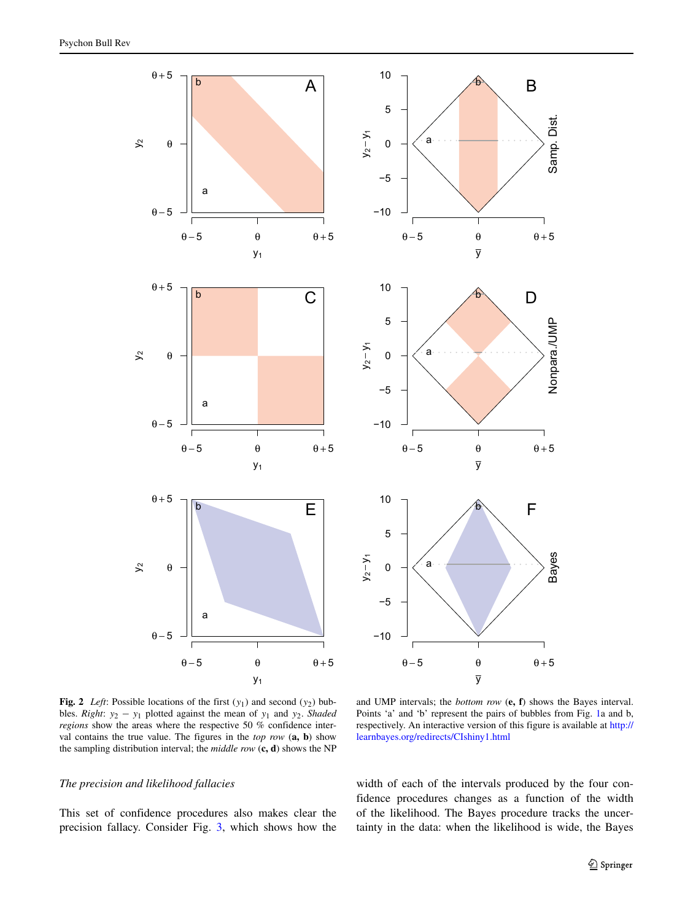<span id="page-8-0"></span>



**Fig. 2** *Left*: Possible locations of the first (*y*1) and second (*y*2) bubbles. *Right*:  $y_2 - y_1$  plotted against the mean of  $y_1$  and  $y_2$ . *Shaded regions* show the areas where the respective 50 % confidence interval contains the true value. The figures in the *top row* (**a, b**) show the sampling distribution interval; the *middle row* (**c, d**) shows the NP

and UMP intervals; the *bottom row* (**e, f**) shows the Bayes interval. Points 'a' and 'b' represent the pairs of bubbles from Fig. [1a](#page-5-0) and b, respectively. An interactive version of this figure is available at [http://](http://learnbayes.org/redirects/CIshiny1.html) [learnbayes.org/redirects/CIshiny1.html](http://learnbayes.org/redirects/CIshiny1.html)

## *The precision and likelihood fallacies*

This set of confidence procedures also makes clear the precision fallacy. Consider Fig. [3,](#page-9-0) which shows how the width of each of the intervals produced by the four confidence procedures changes as a function of the width of the likelihood. The Bayes procedure tracks the uncertainty in the data: when the likelihood is wide, the Bayes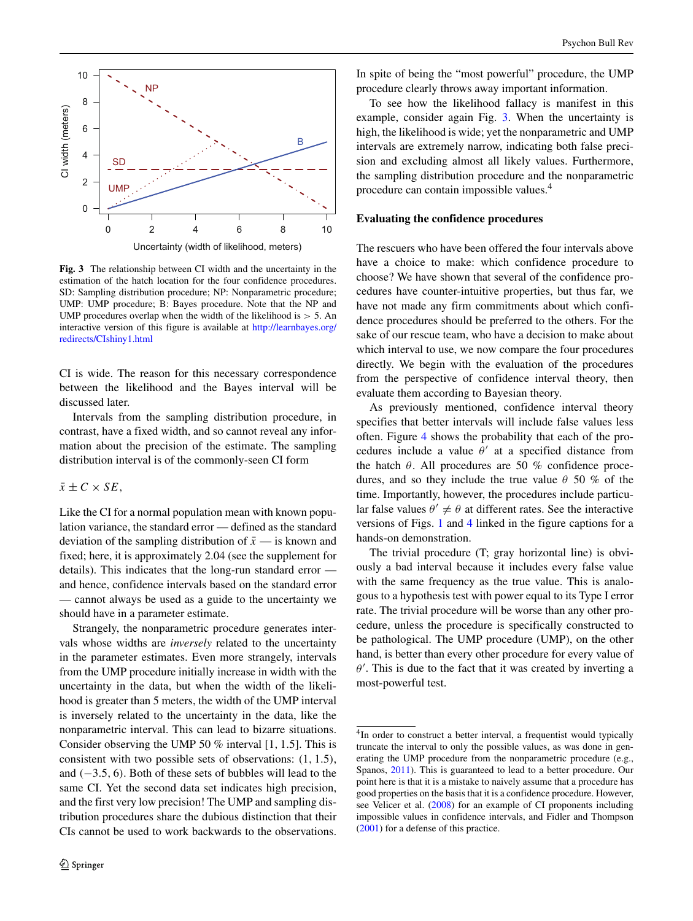<span id="page-9-0"></span>

**Fig. 3** The relationship between CI width and the uncertainty in the estimation of the hatch location for the four confidence procedures. SD: Sampling distribution procedure; NP: Nonparametric procedure; UMP: UMP procedure; B: Bayes procedure. Note that the NP and UMP procedures overlap when the width of the likelihood is *>* 5. An interactive version of this figure is available at [http://learnbayes.org/](http://learnbayes.org/redirects/CIshiny1.html) [redirects/CIshiny1.html](http://learnbayes.org/redirects/CIshiny1.html)

CI is wide. The reason for this necessary correspondence between the likelihood and the Bayes interval will be discussed later.

Intervals from the sampling distribution procedure, in contrast, have a fixed width, and so cannot reveal any information about the precision of the estimate. The sampling distribution interval is of the commonly-seen CI form

 $\bar{x} \pm C \times SE$ 

Like the CI for a normal population mean with known population variance, the standard error — defined as the standard deviation of the sampling distribution of  $\bar{x}$  — is known and fixed; here, it is approximately 2.04 (see the supplement for details). This indicates that the long-run standard error and hence, confidence intervals based on the standard error — cannot always be used as a guide to the uncertainty we should have in a parameter estimate.

Strangely, the nonparametric procedure generates intervals whose widths are *inversely* related to the uncertainty in the parameter estimates. Even more strangely, intervals from the UMP procedure initially increase in width with the uncertainty in the data, but when the width of the likelihood is greater than 5 meters, the width of the UMP interval is inversely related to the uncertainty in the data, like the nonparametric interval. This can lead to bizarre situations. Consider observing the UMP 50 % interval [1*,* 1*.*5]. This is consistent with two possible sets of observations: *(*1*,* 1*.*5*)*, and *(*−3*.*5*,* 6*)*. Both of these sets of bubbles will lead to the same CI. Yet the second data set indicates high precision, and the first very low precision! The UMP and sampling distribution procedures share the dubious distinction that their CIs cannot be used to work backwards to the observations. In spite of being the "most powerful" procedure, the UMP procedure clearly throws away important information.

To see how the likelihood fallacy is manifest in this example, consider again Fig. [3.](#page-9-0) When the uncertainty is high, the likelihood is wide; yet the nonparametric and UMP intervals are extremely narrow, indicating both false precision and excluding almost all likely values. Furthermore, the sampling distribution procedure and the nonparametric procedure can contain impossible values.[4](#page-9-1)

## **Evaluating the confidence procedures**

The rescuers who have been offered the four intervals above have a choice to make: which confidence procedure to choose? We have shown that several of the confidence procedures have counter-intuitive properties, but thus far, we have not made any firm commitments about which confidence procedures should be preferred to the others. For the sake of our rescue team, who have a decision to make about which interval to use, we now compare the four procedures directly. We begin with the evaluation of the procedures from the perspective of confidence interval theory, then evaluate them according to Bayesian theory.

As previously mentioned, confidence interval theory specifies that better intervals will include false values less often. Figure [4](#page-10-0) shows the probability that each of the procedures include a value  $\theta'$  at a specified distance from the hatch  $\theta$ . All procedures are 50 % confidence procedures, and so they include the true value *θ* 50 % of the time. Importantly, however, the procedures include particular false values  $\theta' \neq \theta$  at different rates. See the interactive versions of Figs. [1](#page-5-0) and [4](#page-10-0) linked in the figure captions for a hands-on demonstration.

The trivial procedure (T; gray horizontal line) is obviously a bad interval because it includes every false value with the same frequency as the true value. This is analogous to a hypothesis test with power equal to its Type I error rate. The trivial procedure will be worse than any other procedure, unless the procedure is specifically constructed to be pathological. The UMP procedure (UMP), on the other hand, is better than every other procedure for every value of  $\theta'$ . This is due to the fact that it was created by inverting a most-powerful test.

<span id="page-9-1"></span><sup>&</sup>lt;sup>4</sup>In order to construct a better interval, a frequentist would typically truncate the interval to only the possible values, as was done in generating the UMP procedure from the nonparametric procedure (e.g., Spanos, [2011\)](#page-19-22). This is guaranteed to lead to a better procedure. Our point here is that it is a mistake to naively assume that a procedure has good properties on the basis that it is a confidence procedure. However, see Velicer et al. [\(2008\)](#page-19-6) for an example of CI proponents including impossible values in confidence intervals, and Fidler and Thompson [\(2001\)](#page-18-14) for a defense of this practice.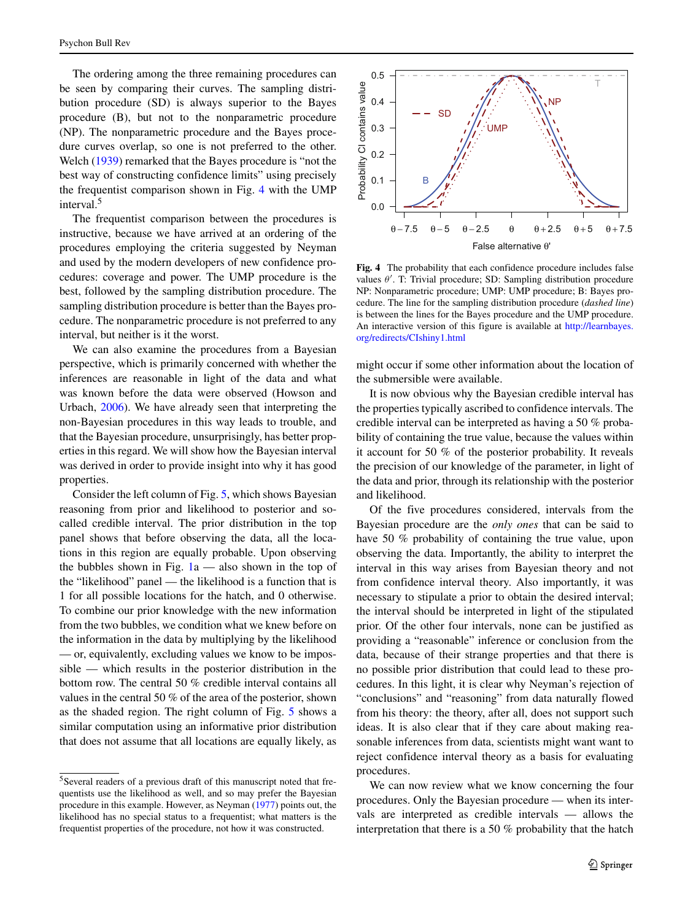The ordering among the three remaining procedures can be seen by comparing their curves. The sampling distribution procedure (SD) is always superior to the Bayes procedure (B), but not to the nonparametric procedure (NP). The nonparametric procedure and the Bayes procedure curves overlap, so one is not preferred to the other. Welch [\(1939\)](#page-20-2) remarked that the Bayes procedure is "not the best way of constructing confidence limits" using precisely the frequentist comparison shown in Fig. [4](#page-10-0) with the UMP interval.[5](#page-10-1)

The frequentist comparison between the procedures is instructive, because we have arrived at an ordering of the procedures employing the criteria suggested by Neyman and used by the modern developers of new confidence procedures: coverage and power. The UMP procedure is the best, followed by the sampling distribution procedure. The sampling distribution procedure is better than the Bayes procedure. The nonparametric procedure is not preferred to any interval, but neither is it the worst.

We can also examine the procedures from a Bayesian perspective, which is primarily concerned with whether the inferences are reasonable in light of the data and what was known before the data were observed (Howson and Urbach, [2006\)](#page-18-15). We have already seen that interpreting the non-Bayesian procedures in this way leads to trouble, and that the Bayesian procedure, unsurprisingly, has better properties in this regard. We will show how the Bayesian interval was derived in order to provide insight into why it has good properties.

Consider the left column of Fig. [5,](#page-11-0) which shows Bayesian reasoning from prior and likelihood to posterior and socalled credible interval. The prior distribution in the top panel shows that before observing the data, all the locations in this region are equally probable. Upon observing the bubbles shown in Fig.  $1a$  — also shown in the top of the "likelihood" panel — the likelihood is a function that is 1 for all possible locations for the hatch, and 0 otherwise. To combine our prior knowledge with the new information from the two bubbles, we condition what we knew before on the information in the data by multiplying by the likelihood — or, equivalently, excluding values we know to be impossible — which results in the posterior distribution in the bottom row. The central 50 % credible interval contains all values in the central 50 % of the area of the posterior, shown as the shaded region. The right column of Fig. [5](#page-11-0) shows a similar computation using an informative prior distribution that does not assume that all locations are equally likely, as

<span id="page-10-0"></span>

**Fig. 4** The probability that each confidence procedure includes false values *θ* . T: Trivial procedure; SD: Sampling distribution procedure NP: Nonparametric procedure; UMP: UMP procedure; B: Bayes procedure. The line for the sampling distribution procedure (*dashed line*) is between the lines for the Bayes procedure and the UMP procedure. An interactive version of this figure is available at [http://learnbayes.](http://learnbayes.org/redirects/CIshiny1.html) [org/redirects/CIshiny1.html](http://learnbayes.org/redirects/CIshiny1.html)

might occur if some other information about the location of the submersible were available.

It is now obvious why the Bayesian credible interval has the properties typically ascribed to confidence intervals. The credible interval can be interpreted as having a 50 % probability of containing the true value, because the values within it account for 50 % of the posterior probability. It reveals the precision of our knowledge of the parameter, in light of the data and prior, through its relationship with the posterior and likelihood.

Of the five procedures considered, intervals from the Bayesian procedure are the *only ones* that can be said to have 50 % probability of containing the true value, upon observing the data. Importantly, the ability to interpret the interval in this way arises from Bayesian theory and not from confidence interval theory. Also importantly, it was necessary to stipulate a prior to obtain the desired interval; the interval should be interpreted in light of the stipulated prior. Of the other four intervals, none can be justified as providing a "reasonable" inference or conclusion from the data, because of their strange properties and that there is no possible prior distribution that could lead to these procedures. In this light, it is clear why Neyman's rejection of "conclusions" and "reasoning" from data naturally flowed from his theory: the theory, after all, does not support such ideas. It is also clear that if they care about making reasonable inferences from data, scientists might want want to reject confidence interval theory as a basis for evaluating procedures.

We can now review what we know concerning the four procedures. Only the Bayesian procedure — when its intervals are interpreted as credible intervals — allows the interpretation that there is a 50 % probability that the hatch

<span id="page-10-1"></span><sup>5</sup>Several readers of a previous draft of this manuscript noted that frequentists use the likelihood as well, and so may prefer the Bayesian procedure in this example. However, as Neyman [\(1977\)](#page-19-23) points out, the likelihood has no special status to a frequentist; what matters is the frequentist properties of the procedure, not how it was constructed.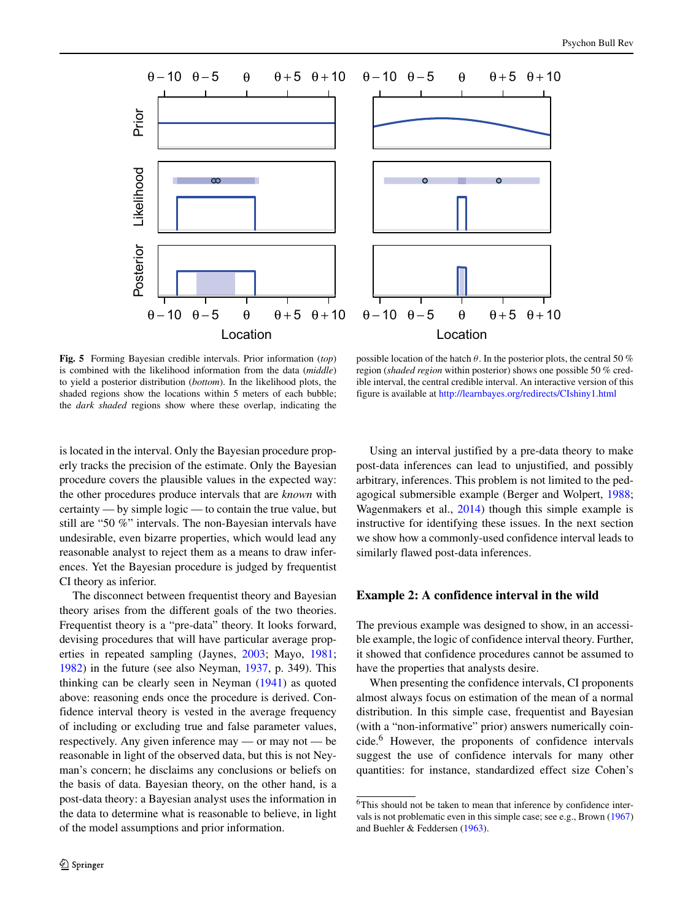<span id="page-11-0"></span>

**Fig. 5** Forming Bayesian credible intervals. Prior information (*top*) is combined with the likelihood information from the data (*middle*) to yield a posterior distribution (*bottom*). In the likelihood plots, the shaded regions show the locations within 5 meters of each bubble; the *dark shaded* regions show where these overlap, indicating the

possible location of the hatch *θ*. In the posterior plots, the central 50 % region (*shaded region* within posterior) shows one possible 50 % credible interval, the central credible interval. An interactive version of this figure is available at <http://learnbayes.org/redirects/CIshiny1.html>

is located in the interval. Only the Bayesian procedure properly tracks the precision of the estimate. Only the Bayesian procedure covers the plausible values in the expected way: the other procedures produce intervals that are *known* with certainty — by simple logic — to contain the true value, but still are "50 %" intervals. The non-Bayesian intervals have undesirable, even bizarre properties, which would lead any reasonable analyst to reject them as a means to draw inferences. Yet the Bayesian procedure is judged by frequentist CI theory as inferior.

The disconnect between frequentist theory and Bayesian theory arises from the different goals of the two theories. Frequentist theory is a "pre-data" theory. It looks forward, devising procedures that will have particular average properties in repeated sampling (Jaynes, [2003;](#page-19-24) Mayo, [1981;](#page-19-4) [1982\)](#page-19-25) in the future (see also Neyman, [1937,](#page-19-2) p. 349). This thinking can be clearly seen in Neyman [\(1941\)](#page-19-10) as quoted above: reasoning ends once the procedure is derived. Confidence interval theory is vested in the average frequency of including or excluding true and false parameter values, respectively. Any given inference may — or may not — be reasonable in light of the observed data, but this is not Neyman's concern; he disclaims any conclusions or beliefs on the basis of data. Bayesian theory, on the other hand, is a post-data theory: a Bayesian analyst uses the information in the data to determine what is reasonable to believe, in light of the model assumptions and prior information.

Using an interval justified by a pre-data theory to make post-data inferences can lead to unjustified, and possibly arbitrary, inferences. This problem is not limited to the pedagogical submersible example (Berger and Wolpert, [1988;](#page-18-7) Wagenmakers et al., [2014\)](#page-19-26) though this simple example is instructive for identifying these issues. In the next section we show how a commonly-used confidence interval leads to similarly flawed post-data inferences.

# **Example 2: A confidence interval in the wild**

The previous example was designed to show, in an accessible example, the logic of confidence interval theory. Further, it showed that confidence procedures cannot be assumed to have the properties that analysts desire.

When presenting the confidence intervals, CI proponents almost always focus on estimation of the mean of a normal distribution. In this simple case, frequentist and Bayesian (with a "non-informative" prior) answers numerically coincide.[6](#page-11-1) However, the proponents of confidence intervals suggest the use of confidence intervals for many other quantities: for instance, standardized effect size Cohen's

<span id="page-11-1"></span><sup>&</sup>lt;sup>6</sup>This should not be taken to mean that inference by confidence intervals is not problematic even in this simple case; see e.g., Brown [\(1967\)](#page-18-16) and Buehler & Feddersen [\(1963\)](#page-18-12).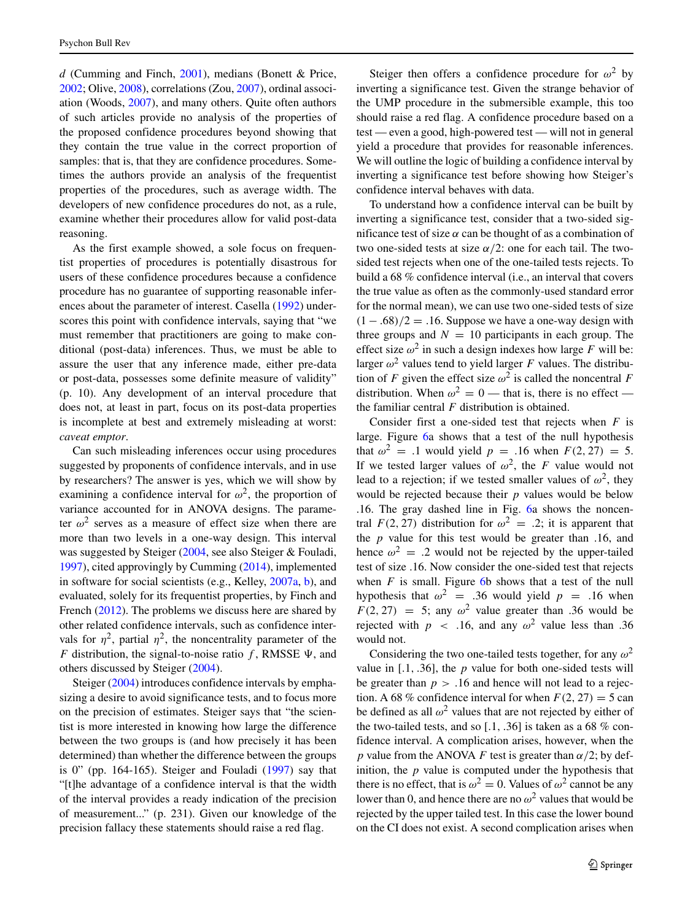*d* (Cumming and Finch, [2001\)](#page-18-17), medians (Bonett & Price, [2002;](#page-18-18) Olive, [2008\)](#page-19-17), correlations (Zou, [2007\)](#page-20-3), ordinal association (Woods, [2007\)](#page-20-4), and many others. Quite often authors of such articles provide no analysis of the properties of the proposed confidence procedures beyond showing that they contain the true value in the correct proportion of samples: that is, that they are confidence procedures. Sometimes the authors provide an analysis of the frequentist properties of the procedures, such as average width. The developers of new confidence procedures do not, as a rule, examine whether their procedures allow for valid post-data reasoning.

As the first example showed, a sole focus on frequentist properties of procedures is potentially disastrous for users of these confidence procedures because a confidence procedure has no guarantee of supporting reasonable inferences about the parameter of interest. Casella [\(1992\)](#page-18-13) underscores this point with confidence intervals, saying that "we must remember that practitioners are going to make conditional (post-data) inferences. Thus, we must be able to assure the user that any inference made, either pre-data or post-data, possesses some definite measure of validity" (p. 10). Any development of an interval procedure that does not, at least in part, focus on its post-data properties is incomplete at best and extremely misleading at worst: *caveat emptor*.

Can such misleading inferences occur using procedures suggested by proponents of confidence intervals, and in use by researchers? The answer is yes, which we will show by examining a confidence interval for  $\omega^2$ , the proportion of variance accounted for in ANOVA designs. The parameter  $\omega^2$  serves as a measure of effect size when there are more than two levels in a one-way design. This interval was suggested by Steiger [\(2004,](#page-19-7) see also Steiger & Fouladi, [1997\)](#page-19-8), cited approvingly by Cumming [\(2014\)](#page-18-0), implemented in software for social scientists (e.g., Kelley, [2007a,](#page-19-27) b), and evaluated, solely for its frequentist properties, by Finch and French [\(2012\)](#page-18-19). The problems we discuss here are shared by other related confidence intervals, such as confidence intervals for  $\eta^2$ , partial  $\eta^2$ , the noncentrality parameter of the *F* distribution, the signal-to-noise ratio  $f$ , RMSSE  $\Psi$ , and others discussed by Steiger [\(2004\)](#page-19-7).

Steiger [\(2004\)](#page-19-7) introduces confidence intervals by emphasizing a desire to avoid significance tests, and to focus more on the precision of estimates. Steiger says that "the scientist is more interested in knowing how large the difference between the two groups is (and how precisely it has been determined) than whether the difference between the groups is 0" (pp. 164-165). Steiger and Fouladi [\(1997\)](#page-19-8) say that "[t]he advantage of a confidence interval is that the width of the interval provides a ready indication of the precision of measurement..." (p. 231). Given our knowledge of the precision fallacy these statements should raise a red flag.

Steiger then offers a confidence procedure for  $\omega^2$  by inverting a significance test. Given the strange behavior of the UMP procedure in the submersible example, this too should raise a red flag. A confidence procedure based on a test — even a good, high-powered test — will not in general yield a procedure that provides for reasonable inferences. We will outline the logic of building a confidence interval by inverting a significance test before showing how Steiger's confidence interval behaves with data.

To understand how a confidence interval can be built by inverting a significance test, consider that a two-sided significance test of size  $\alpha$  can be thought of as a combination of two one-sided tests at size *α/*2: one for each tail. The twosided test rejects when one of the one-tailed tests rejects. To build a 68 % confidence interval (i.e., an interval that covers the true value as often as the commonly-used standard error for the normal mean), we can use two one-sided tests of size *(*1 − *.*68*)/*2 = *.*16. Suppose we have a one-way design with three groups and  $N = 10$  participants in each group. The effect size  $\omega^2$  in such a design indexes how large *F* will be: larger  $\omega^2$  values tend to yield larger *F* values. The distribution of *F* given the effect size  $\omega^2$  is called the noncentral *F* distribution. When  $\omega^2 = 0$  — that is, there is no effect the familiar central *F* distribution is obtained.

Consider first a one-sided test that rejects when *F* is large. Figure [6a](#page-13-0) shows that a test of the null hypothesis that  $\omega^2 = 0.1$  would yield  $p = 0.16$  when  $F(2, 27) = 5$ . If we tested larger values of  $\omega^2$ , the *F* value would not lead to a rejection; if we tested smaller values of  $\omega^2$ , they would be rejected because their *p* values would be below .16. The gray dashed line in Fig. [6a](#page-13-0) shows the noncentral  $F(2, 27)$  distribution for  $\omega^2 = 0.2$ ; it is apparent that the *p* value for this test would be greater than .16, and hence  $\omega^2 = 0.2$  would not be rejected by the upper-tailed test of size .16. Now consider the one-sided test that rejects when  $F$  is small. Figure [6b](#page-13-0) shows that a test of the null hypothesis that  $\omega^2$  = .36 would yield *p* = .16 when  $F(2, 27) = 5$ ; any  $\omega^2$  value greater than .36 would be rejected with  $p \sim .16$ , and any  $\omega^2$  value less than .36 would not.

Considering the two one-tailed tests together, for any *ω*<sup>2</sup> value in [*.*1*, .*36], the *p* value for both one-sided tests will be greater than  $p > 0.16$  and hence will not lead to a rejection. A 68 % confidence interval for when  $F(2, 27) = 5$  can be defined as all  $\omega^2$  values that are not rejected by either of the two-tailed tests, and so [*.*1*, .*36] is taken as a 68 % confidence interval. A complication arises, however, when the *p* value from the ANOVA *F* test is greater than  $\alpha/2$ ; by definition, the *p* value is computed under the hypothesis that there is no effect, that is  $\omega^2 = 0$ . Values of  $\omega^2$  cannot be any lower than 0, and hence there are no  $\omega^2$  values that would be rejected by the upper tailed test. In this case the lower bound on the CI does not exist. A second complication arises when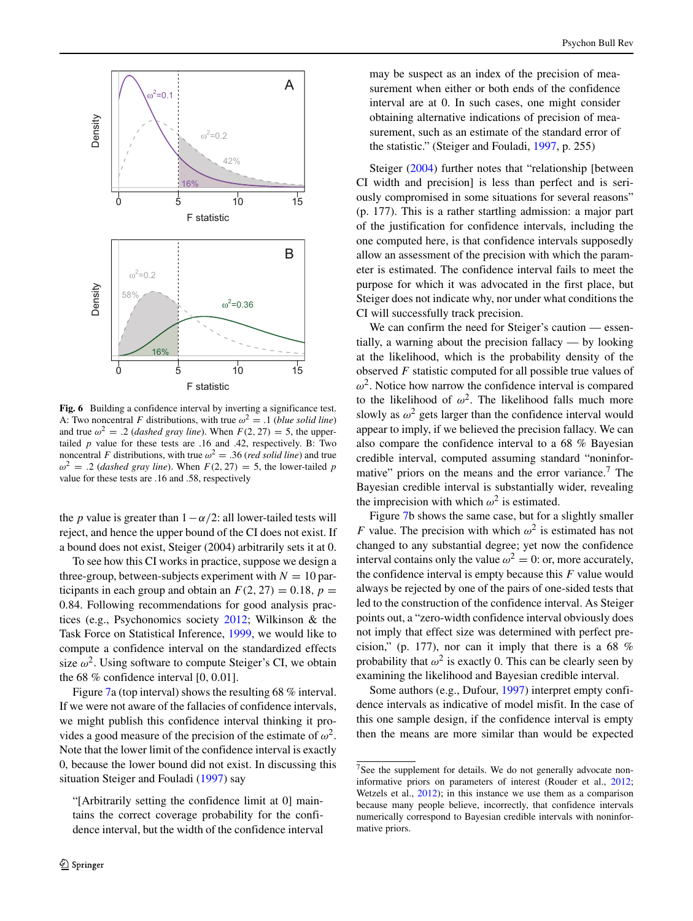<span id="page-13-0"></span>

Fig. 6 Building a confidence interval by inverting a significance test. A: Two noncentral *F* distributions, with true  $\omega^2 = 0.1$  (*blue solid line*) and true  $\omega^2 = .2$  (*dashed gray line*). When  $F(2, 27) = 5$ , the uppertailed *p* value for these tests are .16 and .42, respectively. B: Two noncentral *F* distributions, with true  $\omega^2 = .36$  (*red solid line*) and true  $\omega^2$  = *.2 (dashed gray line)*. When  $F(2, 27) = 5$ , the lower-tailed *p* value for these tests are .16 and .58, respectively

the *p* value is greater than  $1 - \alpha/2$ : all lower-tailed tests will reject, and hence the upper bound of the CI does not exist. If a bound does not exist, Steiger (2004) arbitrarily sets it at 0.

To see how this CI works in practice, suppose we design a three-group, between-subjects experiment with  $N = 10$  participants in each group and obtain an  $F(2, 27) = 0.18$ ,  $p =$ 0*.*84. Following recommendations for good analysis practices (e.g., Psychonomics society [2012;](#page-19-0) Wilkinson & the Task Force on Statistical Inference, [1999,](#page-20-0) we would like to compute a confidence interval on the standardized effects size  $\omega^2$ . Using software to compute Steiger's CI, we obtain the 68 % confidence interval [0*,* 0*.*01].

Figure [7a](#page-14-0) (top interval) shows the resulting 68 % interval. If we were not aware of the fallacies of confidence intervals, we might publish this confidence interval thinking it provides a good measure of the precision of the estimate of  $\omega^2$ . Note that the lower limit of the confidence interval is exactly 0, because the lower bound did not exist. In discussing this situation Steiger and Fouladi [\(1997\)](#page-19-8) say

may be suspect as an index of the precision of measurement when either or both ends of the confidence interval are at 0. In such cases, one might consider obtaining alternative indications of precision of measurement, such as an estimate of the standard error of the statistic." (Steiger and Fouladi, [1997,](#page-19-8) p. 255)

Steiger [\(2004\)](#page-19-7) further notes that "relationship [between CI width and precision] is less than perfect and is seriously compromised in some situations for several reasons" (p. 177). This is a rather startling admission: a major part of the justification for confidence intervals, including the one computed here, is that confidence intervals supposedly allow an assessment of the precision with which the parameter is estimated. The confidence interval fails to meet the purpose for which it was advocated in the first place, but Steiger does not indicate why, nor under what conditions the CI will successfully track precision.

We can confirm the need for Steiger's caution — essentially, a warning about the precision fallacy — by looking at the likelihood, which is the probability density of the observed *F* statistic computed for all possible true values of  $\omega^2$ . Notice how narrow the confidence interval is compared to the likelihood of  $\omega^2$ . The likelihood falls much more slowly as  $\omega^2$  gets larger than the confidence interval would appear to imply, if we believed the precision fallacy. We can also compare the confidence interval to a 68 % Bayesian credible interval, computed assuming standard "noninfor-mative" priors on the means and the error variance.<sup>[7](#page-13-1)</sup> The Bayesian credible interval is substantially wider, revealing the imprecision with which  $\omega^2$  is estimated.

Figure [7b](#page-14-0) shows the same case, but for a slightly smaller *F* value. The precision with which  $\omega^2$  is estimated has not changed to any substantial degree; yet now the confidence interval contains only the value  $\omega^2 = 0$ : or, more accurately, the confidence interval is empty because this *F* value would always be rejected by one of the pairs of one-sided tests that led to the construction of the confidence interval. As Steiger points out, a "zero-width confidence interval obviously does not imply that effect size was determined with perfect precision," (p. 177), nor can it imply that there is a 68 % probability that  $\omega^2$  is exactly 0. This can be clearly seen by examining the likelihood and Bayesian credible interval.

Some authors (e.g., Dufour, [1997\)](#page-18-5) interpret empty confidence intervals as indicative of model misfit. In the case of this one sample design, if the confidence interval is empty then the means are more similar than would be expected

<sup>&</sup>quot;[Arbitrarily setting the confidence limit at 0] maintains the correct coverage probability for the confidence interval, but the width of the confidence interval

<span id="page-13-1"></span><sup>&</sup>lt;sup>7</sup>See the supplement for details. We do not generally advocate noninformative priors on parameters of interest (Rouder et al., [2012;](#page-19-28) Wetzels et al., [2012\)](#page-20-5); in this instance we use them as a comparison because many people believe, incorrectly, that confidence intervals numerically correspond to Bayesian credible intervals with noninformative priors.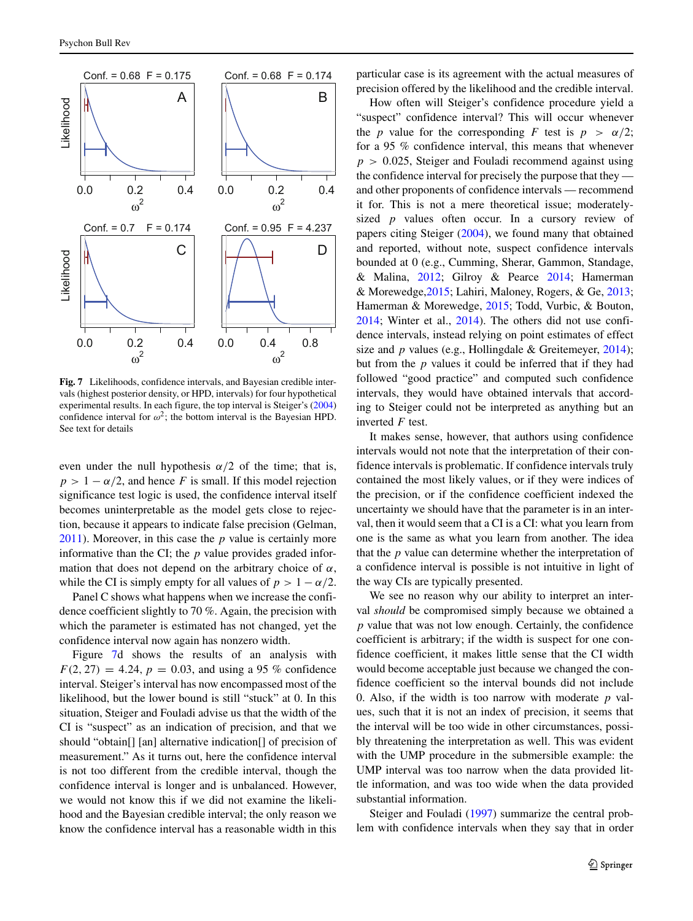<span id="page-14-0"></span>

**Fig. 7** Likelihoods, confidence intervals, and Bayesian credible intervals (highest posterior density, or HPD, intervals) for four hypothetical experimental results. In each figure, the top interval is Steiger's [\(2004\)](#page-19-7) confidence interval for  $\omega^2$ ; the bottom interval is the Bayesian HPD. See text for details

even under the null hypothesis  $\alpha/2$  of the time; that is,  $p > 1 - \alpha/2$ , and hence *F* is small. If this model rejection significance test logic is used, the confidence interval itself becomes uninterpretable as the model gets close to rejection, because it appears to indicate false precision (Gelman, [2011\)](#page-18-20). Moreover, in this case the *p* value is certainly more informative than the CI; the *p* value provides graded information that does not depend on the arbitrary choice of *α*, while the CI is simply empty for all values of  $p > 1 - \alpha/2$ .

Panel C shows what happens when we increase the confidence coefficient slightly to 70 %. Again, the precision with which the parameter is estimated has not changed, yet the confidence interval now again has nonzero width.

Figure [7d](#page-14-0) shows the results of an analysis with  $F(2, 27) = 4.24$ ,  $p = 0.03$ , and using a 95 % confidence interval. Steiger's interval has now encompassed most of the likelihood, but the lower bound is still "stuck" at 0. In this situation, Steiger and Fouladi advise us that the width of the CI is "suspect" as an indication of precision, and that we should "obtain[] [an] alternative indication[] of precision of measurement." As it turns out, here the confidence interval is not too different from the credible interval, though the confidence interval is longer and is unbalanced. However, we would not know this if we did not examine the likelihood and the Bayesian credible interval; the only reason we know the confidence interval has a reasonable width in this

particular case is its agreement with the actual measures of precision offered by the likelihood and the credible interval.

How often will Steiger's confidence procedure yield a "suspect" confidence interval? This will occur whenever the *p* value for the corresponding *F* test is  $p > \alpha/2$ ; for a 95 % confidence interval, this means that whenever *p >* 0*.*025, Steiger and Fouladi recommend against using the confidence interval for precisely the purpose that they and other proponents of confidence intervals — recommend it for. This is not a mere theoretical issue; moderatelysized *p* values often occur. In a cursory review of papers citing Steiger [\(2004\)](#page-19-7), we found many that obtained and reported, without note, suspect confidence intervals bounded at 0 (e.g., Cumming, Sherar, Gammon, Standage, & Malina, [2012;](#page-18-21) Gilroy & Pearce [2014;](#page-18-22) Hamerman & Morewedge[,2015;](#page-18-23) Lahiri, Maloney, Rogers, & Ge, [2013;](#page-19-29) Hamerman & Morewedge, [2015;](#page-18-23) Todd, Vurbic, & Bouton, [2014;](#page-19-30) Winter et al., [2014\)](#page-20-6). The others did not use confidence intervals, instead relying on point estimates of effect size and *p* values (e.g., Hollingdale & Greitemeyer, [2014\)](#page-18-24); but from the *p* values it could be inferred that if they had followed "good practice" and computed such confidence intervals, they would have obtained intervals that according to Steiger could not be interpreted as anything but an inverted *F* test.

It makes sense, however, that authors using confidence intervals would not note that the interpretation of their confidence intervals is problematic. If confidence intervals truly contained the most likely values, or if they were indices of the precision, or if the confidence coefficient indexed the uncertainty we should have that the parameter is in an interval, then it would seem that a CI is a CI: what you learn from one is the same as what you learn from another. The idea that the *p* value can determine whether the interpretation of a confidence interval is possible is not intuitive in light of the way CIs are typically presented.

We see no reason why our ability to interpret an interval *should* be compromised simply because we obtained a *p* value that was not low enough. Certainly, the confidence coefficient is arbitrary; if the width is suspect for one confidence coefficient, it makes little sense that the CI width would become acceptable just because we changed the confidence coefficient so the interval bounds did not include 0. Also, if the width is too narrow with moderate *p* values, such that it is not an index of precision, it seems that the interval will be too wide in other circumstances, possibly threatening the interpretation as well. This was evident with the UMP procedure in the submersible example: the UMP interval was too narrow when the data provided little information, and was too wide when the data provided substantial information.

Steiger and Fouladi [\(1997\)](#page-19-8) summarize the central problem with confidence intervals when they say that in order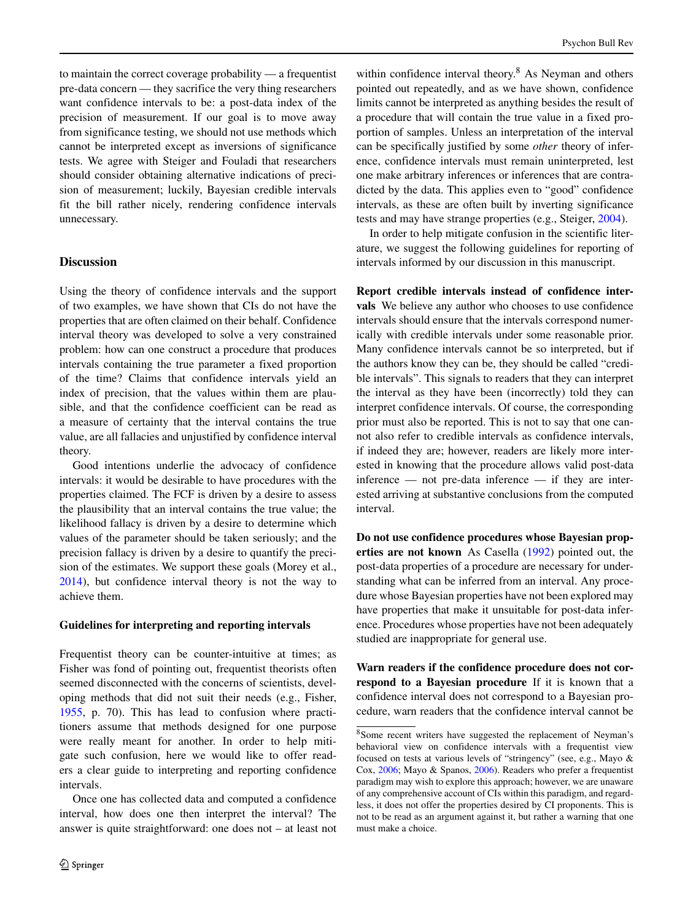to maintain the correct coverage probability — a frequentist pre-data concern — they sacrifice the very thing researchers want confidence intervals to be: a post-data index of the precision of measurement. If our goal is to move away from significance testing, we should not use methods which cannot be interpreted except as inversions of significance tests. We agree with Steiger and Fouladi that researchers should consider obtaining alternative indications of precision of measurement; luckily, Bayesian credible intervals fit the bill rather nicely, rendering confidence intervals unnecessary.

# **Discussion**

Using the theory of confidence intervals and the support of two examples, we have shown that CIs do not have the properties that are often claimed on their behalf. Confidence interval theory was developed to solve a very constrained problem: how can one construct a procedure that produces intervals containing the true parameter a fixed proportion of the time? Claims that confidence intervals yield an index of precision, that the values within them are plausible, and that the confidence coefficient can be read as a measure of certainty that the interval contains the true value, are all fallacies and unjustified by confidence interval theory.

Good intentions underlie the advocacy of confidence intervals: it would be desirable to have procedures with the properties claimed. The FCF is driven by a desire to assess the plausibility that an interval contains the true value; the likelihood fallacy is driven by a desire to determine which values of the parameter should be taken seriously; and the precision fallacy is driven by a desire to quantify the precision of the estimates. We support these goals (Morey et al., [2014\)](#page-19-31), but confidence interval theory is not the way to achieve them.

#### **Guidelines for interpreting and reporting intervals**

Frequentist theory can be counter-intuitive at times; as Fisher was fond of pointing out, frequentist theorists often seemed disconnected with the concerns of scientists, developing methods that did not suit their needs (e.g., Fisher, [1955,](#page-18-25) p. 70). This has lead to confusion where practitioners assume that methods designed for one purpose were really meant for another. In order to help mitigate such confusion, here we would like to offer readers a clear guide to interpreting and reporting confidence intervals.

Once one has collected data and computed a confidence interval, how does one then interpret the interval? The answer is quite straightforward: one does not – at least not

within confidence interval theory.<sup>[8](#page-15-0)</sup> As Neyman and others pointed out repeatedly, and as we have shown, confidence limits cannot be interpreted as anything besides the result of a procedure that will contain the true value in a fixed proportion of samples. Unless an interpretation of the interval can be specifically justified by some *other* theory of inference, confidence intervals must remain uninterpreted, lest one make arbitrary inferences or inferences that are contradicted by the data. This applies even to "good" confidence intervals, as these are often built by inverting significance tests and may have strange properties (e.g., Steiger, [2004\)](#page-19-7).

In order to help mitigate confusion in the scientific literature, we suggest the following guidelines for reporting of intervals informed by our discussion in this manuscript.

**Report credible intervals instead of confidence intervals** We believe any author who chooses to use confidence intervals should ensure that the intervals correspond numerically with credible intervals under some reasonable prior. Many confidence intervals cannot be so interpreted, but if the authors know they can be, they should be called "credible intervals". This signals to readers that they can interpret the interval as they have been (incorrectly) told they can interpret confidence intervals. Of course, the corresponding prior must also be reported. This is not to say that one cannot also refer to credible intervals as confidence intervals, if indeed they are; however, readers are likely more interested in knowing that the procedure allows valid post-data inference — not pre-data inference — if they are interested arriving at substantive conclusions from the computed interval.

**Do not use confidence procedures whose Bayesian properties are not known** As Casella [\(1992\)](#page-18-13) pointed out, the post-data properties of a procedure are necessary for understanding what can be inferred from an interval. Any procedure whose Bayesian properties have not been explored may have properties that make it unsuitable for post-data inference. Procedures whose properties have not been adequately studied are inappropriate for general use.

**Warn readers if the confidence procedure does not correspond to a Bayesian procedure** If it is known that a confidence interval does not correspond to a Bayesian procedure, warn readers that the confidence interval cannot be

<span id="page-15-0"></span><sup>8</sup>Some recent writers have suggested the replacement of Neyman's behavioral view on confidence intervals with a frequentist view focused on tests at various levels of "stringency" (see, e.g., Mayo & Cox, [2006;](#page-19-32) Mayo & Spanos, [2006\)](#page-19-11). Readers who prefer a frequentist paradigm may wish to explore this approach; however, we are unaware of any comprehensive account of CIs within this paradigm, and regardless, it does not offer the properties desired by CI proponents. This is not to be read as an argument against it, but rather a warning that one must make a choice.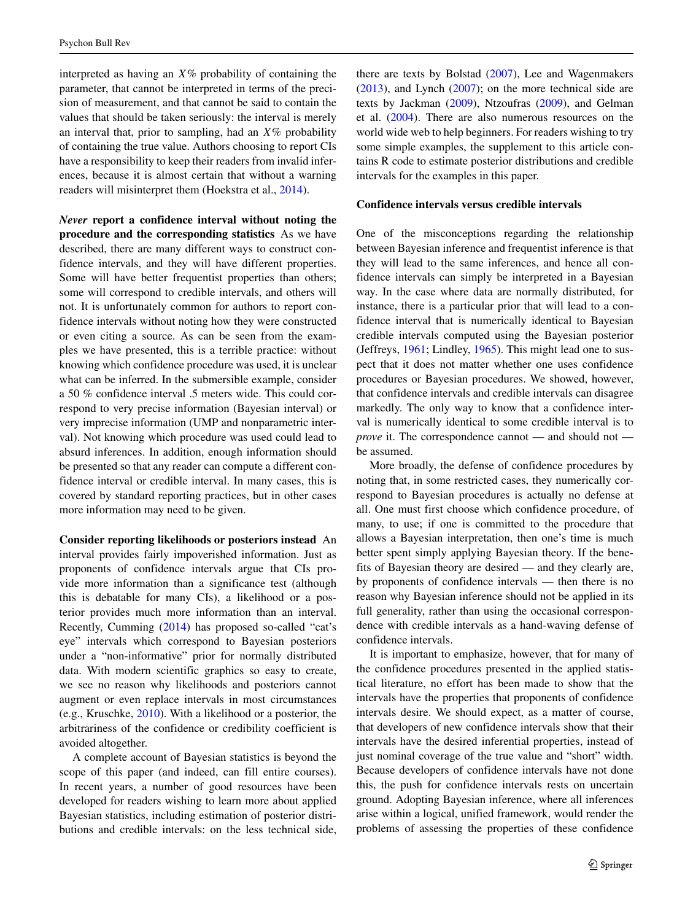interpreted as having an *X*% probability of containing the parameter, that cannot be interpreted in terms of the precision of measurement, and that cannot be said to contain the values that should be taken seriously: the interval is merely an interval that, prior to sampling, had an *X*% probability of containing the true value. Authors choosing to report CIs have a responsibility to keep their readers from invalid inferences, because it is almost certain that without a warning readers will misinterpret them (Hoekstra et al., [2014\)](#page-18-1).

*Never* **report a confidence interval without noting the procedure and the corresponding statistics** As we have described, there are many different ways to construct confidence intervals, and they will have different properties. Some will have better frequentist properties than others; some will correspond to credible intervals, and others will not. It is unfortunately common for authors to report confidence intervals without noting how they were constructed or even citing a source. As can be seen from the examples we have presented, this is a terrible practice: without knowing which confidence procedure was used, it is unclear what can be inferred. In the submersible example, consider a 50 % confidence interval .5 meters wide. This could correspond to very precise information (Bayesian interval) or very imprecise information (UMP and nonparametric interval). Not knowing which procedure was used could lead to absurd inferences. In addition, enough information should be presented so that any reader can compute a different confidence interval or credible interval. In many cases, this is covered by standard reporting practices, but in other cases more information may need to be given.

**Consider reporting likelihoods or posteriors instead** An interval provides fairly impoverished information. Just as proponents of confidence intervals argue that CIs provide more information than a significance test (although this is debatable for many CIs), a likelihood or a posterior provides much more information than an interval. Recently, Cumming [\(2014\)](#page-18-0) has proposed so-called "cat's eye" intervals which correspond to Bayesian posteriors under a "non-informative" prior for normally distributed data. With modern scientific graphics so easy to create, we see no reason why likelihoods and posteriors cannot augment or even replace intervals in most circumstances (e.g., Kruschke, [2010\)](#page-19-33). With a likelihood or a posterior, the arbitrariness of the confidence or credibility coefficient is avoided altogether.

A complete account of Bayesian statistics is beyond the scope of this paper (and indeed, can fill entire courses). In recent years, a number of good resources have been developed for readers wishing to learn more about applied Bayesian statistics, including estimation of posterior distributions and credible intervals: on the less technical side, there are texts by Bolstad [\(2007\)](#page-18-26), Lee and Wagenmakers [\(2013\)](#page-19-34), and Lynch [\(2007\)](#page-19-35); on the more technical side are texts by Jackman [\(2009\)](#page-18-27), Ntzoufras [\(2009\)](#page-19-36), and Gelman et al. [\(2004\)](#page-18-28). There are also numerous resources on the world wide web to help beginners. For readers wishing to try some simple examples, the supplement to this article contains R code to estimate posterior distributions and credible intervals for the examples in this paper.

### **Confidence intervals versus credible intervals**

One of the misconceptions regarding the relationship between Bayesian inference and frequentist inference is that they will lead to the same inferences, and hence all confidence intervals can simply be interpreted in a Bayesian way. In the case where data are normally distributed, for instance, there is a particular prior that will lead to a confidence interval that is numerically identical to Bayesian credible intervals computed using the Bayesian posterior (Jeffreys, [1961;](#page-19-37) Lindley, [1965\)](#page-19-38). This might lead one to suspect that it does not matter whether one uses confidence procedures or Bayesian procedures. We showed, however, that confidence intervals and credible intervals can disagree markedly. The only way to know that a confidence interval is numerically identical to some credible interval is to *prove* it. The correspondence cannot — and should not be assumed.

More broadly, the defense of confidence procedures by noting that, in some restricted cases, they numerically correspond to Bayesian procedures is actually no defense at all. One must first choose which confidence procedure, of many, to use; if one is committed to the procedure that allows a Bayesian interpretation, then one's time is much better spent simply applying Bayesian theory. If the benefits of Bayesian theory are desired — and they clearly are, by proponents of confidence intervals — then there is no reason why Bayesian inference should not be applied in its full generality, rather than using the occasional correspondence with credible intervals as a hand-waving defense of confidence intervals.

It is important to emphasize, however, that for many of the confidence procedures presented in the applied statistical literature, no effort has been made to show that the intervals have the properties that proponents of confidence intervals desire. We should expect, as a matter of course, that developers of new confidence intervals show that their intervals have the desired inferential properties, instead of just nominal coverage of the true value and "short" width. Because developers of confidence intervals have not done this, the push for confidence intervals rests on uncertain ground. Adopting Bayesian inference, where all inferences arise within a logical, unified framework, would render the problems of assessing the properties of these confidence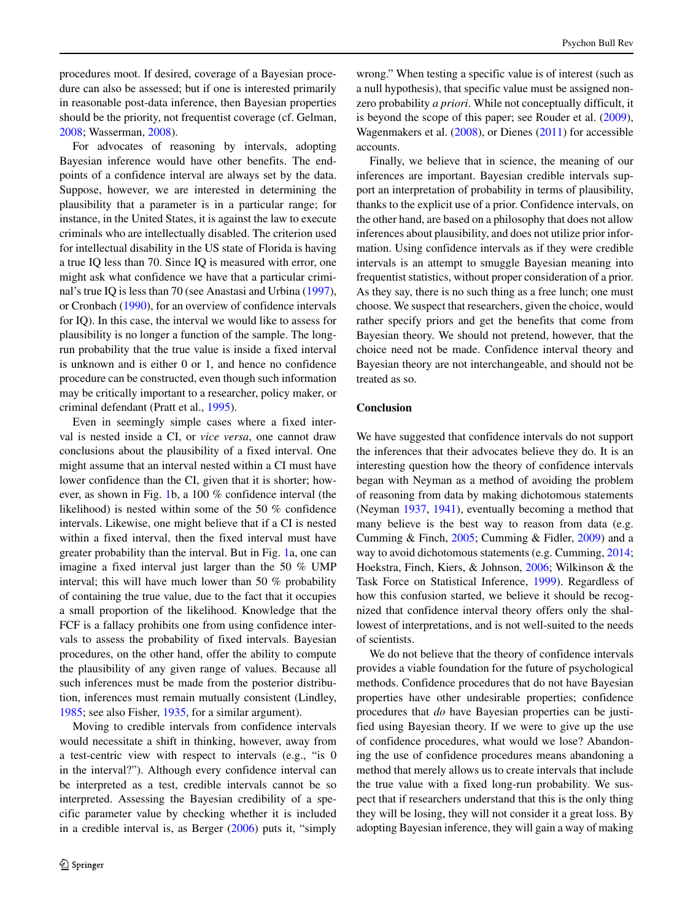procedures moot. If desired, coverage of a Bayesian procedure can also be assessed; but if one is interested primarily in reasonable post-data inference, then Bayesian properties should be the priority, not frequentist coverage (cf. Gelman, [2008;](#page-18-29) Wasserman, [2008\)](#page-19-39).

For advocates of reasoning by intervals, adopting Bayesian inference would have other benefits. The endpoints of a confidence interval are always set by the data. Suppose, however, we are interested in determining the plausibility that a parameter is in a particular range; for instance, in the United States, it is against the law to execute criminals who are intellectually disabled. The criterion used for intellectual disability in the US state of Florida is having a true IQ less than 70. Since IQ is measured with error, one might ask what confidence we have that a particular criminal's true IQ is less than 70 (see Anastasi and Urbina [\(1997\)](#page-18-30), or Cronbach [\(1990\)](#page-18-31), for an overview of confidence intervals for IQ). In this case, the interval we would like to assess for plausibility is no longer a function of the sample. The longrun probability that the true value is inside a fixed interval is unknown and is either 0 or 1, and hence no confidence procedure can be constructed, even though such information may be critically important to a researcher, policy maker, or criminal defendant (Pratt et al., [1995\)](#page-19-40).

Even in seemingly simple cases where a fixed interval is nested inside a CI, or *vice versa*, one cannot draw conclusions about the plausibility of a fixed interval. One might assume that an interval nested within a CI must have lower confidence than the CI, given that it is shorter; however, as shown in Fig. [1b](#page-5-0), a 100 % confidence interval (the likelihood) is nested within some of the 50 % confidence intervals. Likewise, one might believe that if a CI is nested within a fixed interval, then the fixed interval must have greater probability than the interval. But in Fig. [1a](#page-5-0), one can imagine a fixed interval just larger than the 50 % UMP interval; this will have much lower than 50 % probability of containing the true value, due to the fact that it occupies a small proportion of the likelihood. Knowledge that the FCF is a fallacy prohibits one from using confidence intervals to assess the probability of fixed intervals. Bayesian procedures, on the other hand, offer the ability to compute the plausibility of any given range of values. Because all such inferences must be made from the posterior distribution, inferences must remain mutually consistent (Lindley, [1985;](#page-19-41) see also Fisher, [1935,](#page-18-6) for a similar argument).

Moving to credible intervals from confidence intervals would necessitate a shift in thinking, however, away from a test-centric view with respect to intervals (e.g., "is 0 in the interval?"). Although every confidence interval can be interpreted as a test, credible intervals cannot be so interpreted. Assessing the Bayesian credibility of a specific parameter value by checking whether it is included in a credible interval is, as Berger [\(2006\)](#page-18-32) puts it, "simply wrong." When testing a specific value is of interest (such as a null hypothesis), that specific value must be assigned nonzero probability *a priori*. While not conceptually difficult, it is beyond the scope of this paper; see Rouder et al. [\(2009\)](#page-19-42), Wagenmakers et al. [\(2008\)](#page-19-43), or Dienes [\(2011\)](#page-18-33) for accessible accounts.

Finally, we believe that in science, the meaning of our inferences are important. Bayesian credible intervals support an interpretation of probability in terms of plausibility, thanks to the explicit use of a prior. Confidence intervals, on the other hand, are based on a philosophy that does not allow inferences about plausibility, and does not utilize prior information. Using confidence intervals as if they were credible intervals is an attempt to smuggle Bayesian meaning into frequentist statistics, without proper consideration of a prior. As they say, there is no such thing as a free lunch; one must choose. We suspect that researchers, given the choice, would rather specify priors and get the benefits that come from Bayesian theory. We should not pretend, however, that the choice need not be made. Confidence interval theory and Bayesian theory are not interchangeable, and should not be treated as so.

# **Conclusion**

We have suggested that confidence intervals do not support the inferences that their advocates believe they do. It is an interesting question how the theory of confidence intervals began with Neyman as a method of avoiding the problem of reasoning from data by making dichotomous statements (Neyman [1937,](#page-19-2) [1941\)](#page-19-10), eventually becoming a method that many believe is the best way to reason from data (e.g. Cumming & Finch, [2005;](#page-18-2) Cumming & Fidler, [2009\)](#page-18-34) and a way to avoid dichotomous statements (e.g. Cumming, [2014;](#page-18-0) Hoekstra, Finch, Kiers, & Johnson, [2006;](#page-18-35) Wilkinson & the Task Force on Statistical Inference, [1999\)](#page-20-0). Regardless of how this confusion started, we believe it should be recognized that confidence interval theory offers only the shallowest of interpretations, and is not well-suited to the needs of scientists.

We do not believe that the theory of confidence intervals provides a viable foundation for the future of psychological methods. Confidence procedures that do not have Bayesian properties have other undesirable properties; confidence procedures that *do* have Bayesian properties can be justified using Bayesian theory. If we were to give up the use of confidence procedures, what would we lose? Abandoning the use of confidence procedures means abandoning a method that merely allows us to create intervals that include the true value with a fixed long-run probability. We suspect that if researchers understand that this is the only thing they will be losing, they will not consider it a great loss. By adopting Bayesian inference, they will gain a way of making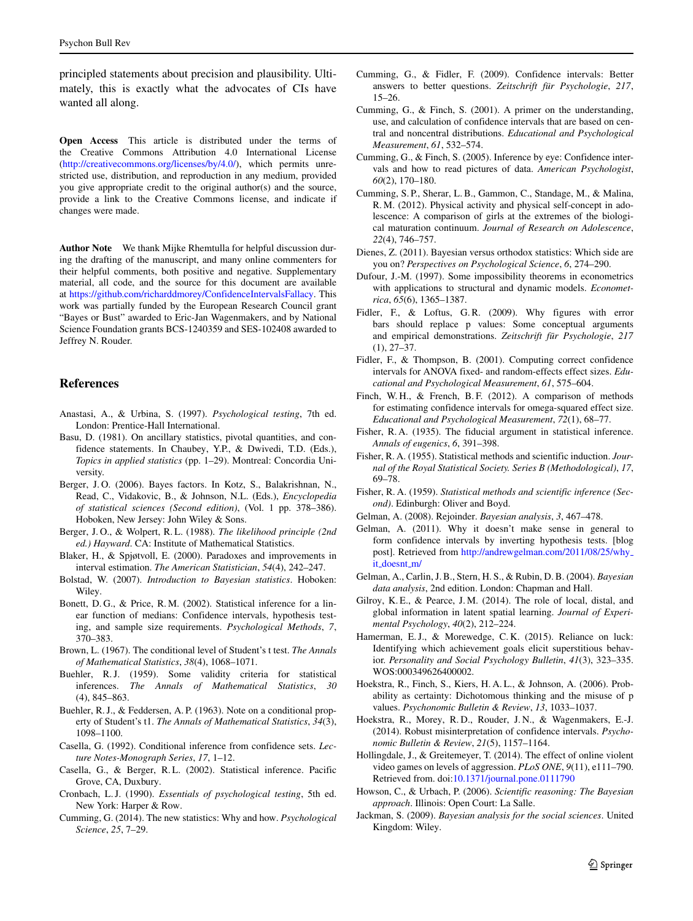principled statements about precision and plausibility. Ultimately, this is exactly what the advocates of CIs have wanted all along.

**Open Access** This article is distributed under the terms of the Creative Commons Attribution 4.0 International License [\(http://creativecommons.org/licenses/by/4.0/\)](http://creativecommons.org/licenses/by/4.0/), which permits unrestricted use, distribution, and reproduction in any medium, provided you give appropriate credit to the original author(s) and the source, provide a link to the Creative Commons license, and indicate if changes were made.

**Author Note** We thank Mijke Rhemtulla for helpful discussion during the drafting of the manuscript, and many online commenters for their helpful comments, both positive and negative. Supplementary material, all code, and the source for this document are available at [https://github.com/richarddmorey/ConfidenceIntervalsFallacy.](https://github.com/richarddmorey/ConfidenceIntervalsFallacy) This work was partially funded by the European Research Council grant "Bayes or Bust" awarded to Eric-Jan Wagenmakers, and by National Science Foundation grants BCS-1240359 and SES-102408 awarded to Jeffrey N. Rouder.

# **References**

- <span id="page-18-30"></span>Anastasi, A., & Urbina, S. (1997). *Psychological testing*, 7th ed. London: Prentice-Hall International.
- <span id="page-18-8"></span>Basu, D. (1981). On ancillary statistics, pivotal quantities, and confidence statements. In Chaubey, Y.P., & Dwivedi, T.D. (Eds.), *Topics in applied statistics* (pp. 1–29). Montreal: Concordia University.
- <span id="page-18-32"></span>Berger, J. O. (2006). Bayes factors. In Kotz, S., Balakrishnan, N., Read, C., Vidakovic, B., & Johnson, N.L. (Eds.), *Encyclopedia of statistical sciences (Second edition)*, (Vol. 1 pp. 378–386). Hoboken, New Jersey: John Wiley & Sons.
- <span id="page-18-7"></span>Berger, J. O., & Wolpert, R. L. (1988). *The likelihood principle (2nd ed.) Hayward*. CA: Institute of Mathematical Statistics.
- <span id="page-18-4"></span>Blaker, H., & Spjøtvoll, E. (2000). Paradoxes and improvements in interval estimation. *The American Statistician*, *54*(4), 242–247.
- <span id="page-18-26"></span>Bolstad, W. (2007). *Introduction to Bayesian statistics*. Hoboken: Wiley.
- <span id="page-18-18"></span>Bonett, D. G., & Price, R. M. (2002). Statistical inference for a linear function of medians: Confidence intervals, hypothesis testing, and sample size requirements. *Psychological Methods*, *7*, 370–383.
- <span id="page-18-16"></span>Brown, L. (1967). The conditional level of Student's t test. *The Annals of Mathematical Statistics*, *38*(4), 1068–1071.
- <span id="page-18-11"></span>Buehler, R.J. (1959). Some validity criteria for statistical inferences. *The Annals of Mathematical Statistics*, *30* (4), 845–863.
- <span id="page-18-12"></span>Buehler, R. J., & Feddersen, A. P. (1963). Note on a conditional property of Student's t1. *The Annals of Mathematical Statistics*, *34*(3), 1098–1100.
- <span id="page-18-13"></span>Casella, G. (1992). Conditional inference from confidence sets. *Lecture Notes-Monograph Series*, *17*, 1–12.
- <span id="page-18-9"></span>Casella, G., & Berger, R. L. (2002). Statistical inference. Pacific Grove, CA, Duxbury.
- <span id="page-18-31"></span>Cronbach, L. J. (1990). *Essentials of psychological testing*, 5th ed. New York: Harper & Row.
- <span id="page-18-0"></span>Cumming, G. (2014). The new statistics: Why and how. *Psychological Science*, *25*, 7–29.
- <span id="page-18-34"></span>Cumming, G., & Fidler, F. (2009). Confidence intervals: Better answers to better questions. Zeitschrift für Psychologie, 217, 15–26.
- <span id="page-18-17"></span>Cumming, G., & Finch, S. (2001). A primer on the understanding, use, and calculation of confidence intervals that are based on central and noncentral distributions. *Educational and Psychological Measurement*, *61*, 532–574.
- <span id="page-18-2"></span>Cumming, G., & Finch, S. (2005). Inference by eye: Confidence intervals and how to read pictures of data. *American Psychologist*, *60*(2), 170–180.
- <span id="page-18-21"></span>Cumming, S. P., Sherar, L. B., Gammon, C., Standage, M., & Malina, R. M. (2012). Physical activity and physical self-concept in adolescence: A comparison of girls at the extremes of the biological maturation continuum. *Journal of Research on Adolescence*, *22*(4), 746–757.
- <span id="page-18-33"></span>Dienes, Z. (2011). Bayesian versus orthodox statistics: Which side are you on? *Perspectives on Psychological Science*, *6*, 274–290.
- <span id="page-18-5"></span>Dufour, J.-M. (1997). Some impossibility theorems in econometrics with applications to structural and dynamic models. *Econometrica*, *65*(6), 1365–1387.
- <span id="page-18-3"></span>Fidler, F., & Loftus, G.R. (2009). Why figures with error bars should replace p values: Some conceptual arguments and empirical demonstrations. Zeitschrift für Psychologie, 217 (1), 27–37.
- <span id="page-18-14"></span>Fidler, F., & Thompson, B. (2001). Computing correct confidence intervals for ANOVA fixed- and random-effects effect sizes. *Educational and Psychological Measurement*, *61*, 575–604.
- <span id="page-18-19"></span>Finch, W. H., & French, B. F. (2012). A comparison of methods for estimating confidence intervals for omega-squared effect size. *Educational and Psychological Measurement*, *72*(1), 68–77.
- <span id="page-18-6"></span>Fisher, R. A. (1935). The fiducial argument in statistical inference. *Annals of eugenics*, *6*, 391–398.
- <span id="page-18-25"></span>Fisher, R. A. (1955). Statistical methods and scientific induction. *Journal of the Royal Statistical Society. Series B (Methodological)*, *17*, 69–78.
- <span id="page-18-10"></span>Fisher, R. A. (1959). *Statistical methods and scientific inference (Second)*. Edinburgh: Oliver and Boyd.
- <span id="page-18-29"></span>Gelman, A. (2008). Rejoinder. *Bayesian analysis*, *3*, 467–478.
- <span id="page-18-20"></span>Gelman, A. (2011). Why it doesn't make sense in general to form confidence intervals by inverting hypothesis tests. [blog post]. Retrieved from [http://andrewgelman.com/2011/08/25/why](http://andrewgelman.com/2011/08/25/why_it_doesnt_m/) it\_[doesnt](http://andrewgelman.com/2011/08/25/why_it_doesnt_m/)\_m/
- <span id="page-18-28"></span>Gelman, A., Carlin, J. B., Stern, H. S., & Rubin, D. B. (2004). *Bayesian data analysis*, 2nd edition. London: Chapman and Hall.
- <span id="page-18-22"></span>Gilroy, K. E., & Pearce, J. M. (2014). The role of local, distal, and global information in latent spatial learning. *Journal of Experimental Psychology*, *40*(2), 212–224.
- <span id="page-18-23"></span>Hamerman, E.J., & Morewedge, C.K. (2015). Reliance on luck: Identifying which achievement goals elicit superstitious behavior. *Personality and Social Psychology Bulletin*, *41*(3), 323–335. WOS:000349626400002.
- <span id="page-18-35"></span>Hoekstra, R., Finch, S., Kiers, H. A. L., & Johnson, A. (2006). Probability as certainty: Dichotomous thinking and the misuse of p values. *Psychonomic Bulletin & Review*, *13*, 1033–1037.
- <span id="page-18-1"></span>Hoekstra, R., Morey, R. D., Rouder, J. N., & Wagenmakers, E.-J. (2014). Robust misinterpretation of confidence intervals. *Psychonomic Bulletin & Review*, *21*(5), 1157–1164.
- <span id="page-18-24"></span>Hollingdale, J., & Greitemeyer, T. (2014). The effect of online violent video games on levels of aggression. *PLoS ONE*, *9*(11), e111–790. Retrieved from. doi[:10.1371/journal.pone.0111790](http://dx.doi.org/10.1371/journal.pone.0111790)
- <span id="page-18-15"></span>Howson, C., & Urbach, P. (2006). *Scientific reasoning: The Bayesian approach*. Illinois: Open Court: La Salle.
- <span id="page-18-27"></span>Jackman, S. (2009). *Bayesian analysis for the social sciences*. United Kingdom: Wiley.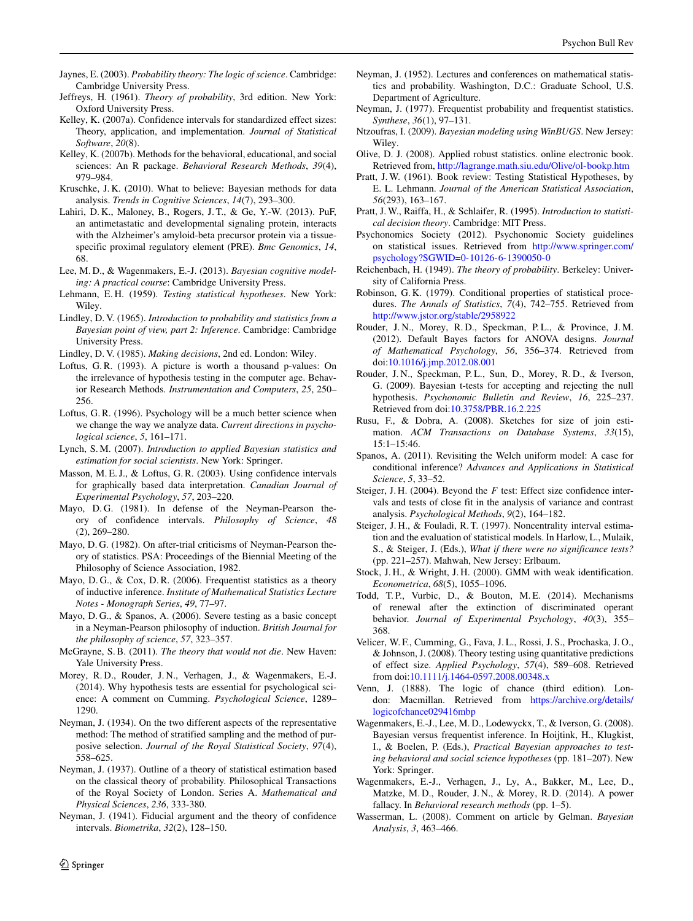- <span id="page-19-24"></span>Jaynes, E. (2003). *Probability theory: The logic of science*. Cambridge: Cambridge University Press.
- <span id="page-19-37"></span>Jeffreys, H. (1961). *Theory of probability*, 3rd edition. New York: Oxford University Press.
- <span id="page-19-27"></span>Kelley, K. (2007a). Confidence intervals for standardized effect sizes: Theory, application, and implementation. *Journal of Statistical Software*, *20*(8).
- Kelley, K. (2007b). Methods for the behavioral, educational, and social sciences: An R package. *Behavioral Research Methods*, *39*(4), 979–984.
- <span id="page-19-33"></span>Kruschke, J. K. (2010). What to believe: Bayesian methods for data analysis. *Trends in Cognitive Sciences*, *14*(7), 293–300.
- <span id="page-19-29"></span>Lahiri, D. K., Maloney, B., Rogers, J. T., & Ge, Y.-W. (2013). PuF, an antimetastatic and developmental signaling protein, interacts with the Alzheimer's amyloid-beta precursor protein via a tissuespecific proximal regulatory element (PRE). *Bmc Genomics*, *14*, 68.
- <span id="page-19-34"></span>Lee, M. D., & Wagenmakers, E.-J. (2013). *Bayesian cognitive modeling: A practical course*: Cambridge University Press.
- <span id="page-19-12"></span>Lehmann, E. H. (1959). *Testing statistical hypotheses*. New York: Wiley.
- <span id="page-19-38"></span>Lindley, D. V. (1965). *Introduction to probability and statistics from a Bayesian point of view, part 2: Inference*. Cambridge: Cambridge University Press.
- <span id="page-19-41"></span>Lindley, D. V. (1985). *Making decisions*, 2nd ed. London: Wiley.
- <span id="page-19-5"></span>Loftus, G. R. (1993). A picture is worth a thousand p-values: On the irrelevance of hypothesis testing in the computer age. Behavior Research Methods. *Instrumentation and Computers*, *25*, 250– 256.
- <span id="page-19-1"></span>Loftus, G. R. (1996). Psychology will be a much better science when we change the way we analyze data. *Current directions in psychological science*, *5*, 161–171.
- <span id="page-19-35"></span>Lynch, S. M. (2007). *Introduction to applied Bayesian statistics and estimation for social scientists*. New York: Springer.
- <span id="page-19-3"></span>Masson, M. E. J., & Loftus, G. R. (2003). Using confidence intervals for graphically based data interpretation. *Canadian Journal of Experimental Psychology*, *57*, 203–220.
- <span id="page-19-4"></span>Mayo, D. G. (1981). In defense of the Neyman-Pearson theory of confidence intervals. *Philosophy of Science*, *48* (2), 269–280.
- <span id="page-19-25"></span>Mayo, D. G. (1982). On after-trial criticisms of Neyman-Pearson theory of statistics. PSA: Proceedings of the Biennial Meeting of the Philosophy of Science Association, 1982.
- <span id="page-19-32"></span>Mayo, D. G., & Cox, D. R. (2006). Frequentist statistics as a theory of inductive inference. *Institute of Mathematical Statistics Lecture Notes - Monograph Series*, *49*, 77–97.
- <span id="page-19-11"></span>Mayo, D. G., & Spanos, A. (2006). Severe testing as a basic concept in a Neyman-Pearson philosophy of induction. *British Journal for the philosophy of science*, *57*, 323–357.
- <span id="page-19-16"></span>McGrayne, S. B. (2011). *The theory that would not die*. New Haven: Yale University Press.
- <span id="page-19-31"></span>Morey, R. D., Rouder, J. N., Verhagen, J., & Wagenmakers, E.-J. (2014). Why hypothesis tests are essential for psychological science: A comment on Cumming. *Psychological Science*, 1289– 1290.
- <span id="page-19-14"></span>Neyman, J. (1934). On the two different aspects of the representative method: The method of stratified sampling and the method of purposive selection. *Journal of the Royal Statistical Society*, *97*(4), 558–625.
- <span id="page-19-2"></span>Neyman, J. (1937). Outline of a theory of statistical estimation based on the classical theory of probability. Philosophical Transactions of the Royal Society of London. Series A. *Mathematical and Physical Sciences*, *236*, 333-380.
- <span id="page-19-10"></span>Neyman, J. (1941). Fiducial argument and the theory of confidence intervals. *Biometrika*, *32*(2), 128–150.
- <span id="page-19-13"></span>Neyman, J. (1952). Lectures and conferences on mathematical statistics and probability. Washington, D.C.: Graduate School, U.S. Department of Agriculture.
- <span id="page-19-23"></span>Neyman, J. (1977). Frequentist probability and frequentist statistics. *Synthese*, *36*(1), 97–131.
- <span id="page-19-36"></span>Ntzoufras, I. (2009). *Bayesian modeling using WinBUGS*. New Jersey: Wiley.
- <span id="page-19-17"></span>Olive, D. J. (2008). Applied robust statistics. online electronic book. Retrieved from, <http://lagrange.math.siu.edu/Olive/ol-bookp.htm>
- <span id="page-19-15"></span>Pratt, J. W. (1961). Book review: Testing Statistical Hypotheses, by E. L. Lehmann. *Journal of the American Statistical Association*, *56*(293), 163–167.
- <span id="page-19-40"></span>Pratt, J. W., Raiffa, H., & Schlaifer, R. (1995). *Introduction to statistical decision theory*. Cambridge: MIT Press.
- <span id="page-19-0"></span>Psychonomics Society (2012). Psychonomic Society guidelines on statistical issues. Retrieved from [http://www.springer.com/](http://www.springer.com/psychology?SGWID=0-10126-6-1390050-0) [psychology?SGWID=0-10126-6-1390050-0](http://www.springer.com/psychology?SGWID=0-10126-6-1390050-0)
- <span id="page-19-20"></span>Reichenbach, H. (1949). *The theory of probability*. Berkeley: University of California Press.
- <span id="page-19-21"></span>Robinson, G. K. (1979). Conditional properties of statistical procedures. *The Annals of Statistics*, *7*(4), 742–755. Retrieved from <http://www.jstor.org/stable/2958922>
- <span id="page-19-28"></span>Rouder, J. N., Morey, R. D., Speckman, P. L., & Province, J. M. (2012). Default Bayes factors for ANOVA designs. *Journal of Mathematical Psychology*, *56*, 356–374. Retrieved from doi[:10.1016/j.jmp.2012.08.001](http://dx.doi.org/10.1016/j.jmp.2012.08.001)
- <span id="page-19-42"></span>Rouder, J. N., Speckman, P. L., Sun, D., Morey, R. D., & Iverson, G. (2009). Bayesian t-tests for accepting and rejecting the null hypothesis. *Psychonomic Bulletin and Review*, *16*, 225–237. Retrieved from doi[:10.3758/PBR.16.2.225](http://dx.doi.org/10.3758/PBR.16.2.225)
- <span id="page-19-18"></span>Rusu, F., & Dobra, A. (2008). Sketches for size of join estimation. *ACM Transactions on Database Systems*, *33*(15), 15:1–15:46.
- <span id="page-19-22"></span>Spanos, A. (2011). Revisiting the Welch uniform model: A case for conditional inference? *Advances and Applications in Statistical Science*, *5*, 33–52.
- <span id="page-19-7"></span>Steiger, J. H. (2004). Beyond the *F* test: Effect size confidence intervals and tests of close fit in the analysis of variance and contrast analysis. *Psychological Methods*, *9*(2), 164–182.
- <span id="page-19-8"></span>Steiger, J. H., & Fouladi, R. T. (1997). Noncentrality interval estimation and the evaluation of statistical models. In Harlow, L., Mulaik, S., & Steiger, J. (Eds.), *What if there were no significance tests?* (pp. 221–257). Mahwah, New Jersey: Erlbaum.
- <span id="page-19-9"></span>Stock, J. H., & Wright, J. H. (2000). GMM with weak identification. *Econometrica*, *68*(5), 1055–1096.
- <span id="page-19-30"></span>Todd, T.P., Vurbic, D., & Bouton, M.E. (2014). Mechanisms of renewal after the extinction of discriminated operant behavior. *Journal of Experimental Psychology*, *40*(3), 355– 368.
- <span id="page-19-6"></span>Velicer, W. F., Cumming, G., Fava, J. L., Rossi, J. S., Prochaska, J. O., & Johnson, J. (2008). Theory testing using quantitative predictions of effect size. *Applied Psychology*, *57*(4), 589–608. Retrieved from doi[:10.1111/j.1464-0597.2008.00348.x](http://dx.doi.org/10.1111/j.1464-0597.2008.00348.x)
- <span id="page-19-19"></span>Venn, J. (1888). The logic of chance (third edition). London: Macmillan. Retrieved from [https://archive.org/details/](https://archive.org/details/logicofchance029416mbp) [logicofchance029416mbp](https://archive.org/details/logicofchance029416mbp)
- <span id="page-19-43"></span>Wagenmakers, E.-J., Lee, M. D., Lodewyckx, T., & Iverson, G. (2008). Bayesian versus frequentist inference. In Hoijtink, H., Klugkist, I., & Boelen, P. (Eds.), *Practical Bayesian approaches to testing behavioral and social science hypotheses* (pp. 181–207). New York: Springer.
- <span id="page-19-26"></span>Wagenmakers, E.-J., Verhagen, J., Ly, A., Bakker, M., Lee, D., Matzke, M. D., Rouder, J. N., & Morey, R. D. (2014). A power fallacy. In *Behavioral research methods* (pp. 1–5).
- <span id="page-19-39"></span>Wasserman, L. (2008). Comment on article by Gelman. *Bayesian Analysis*, *3*, 463–466.